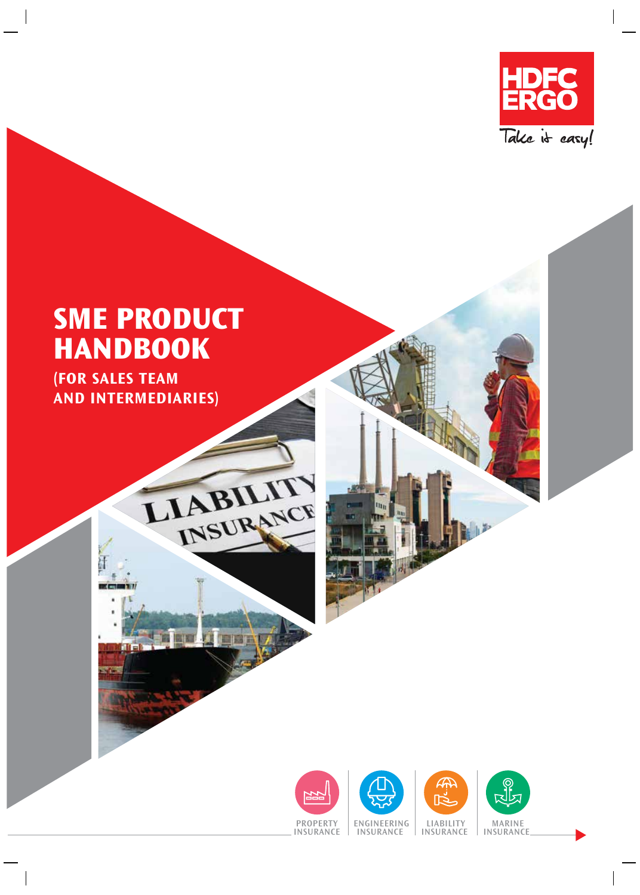

## **SME PRODUCT HANDBOOK**

LIABILITY

**(FOR SALES TEAM AND INTERMEDIARIES)**

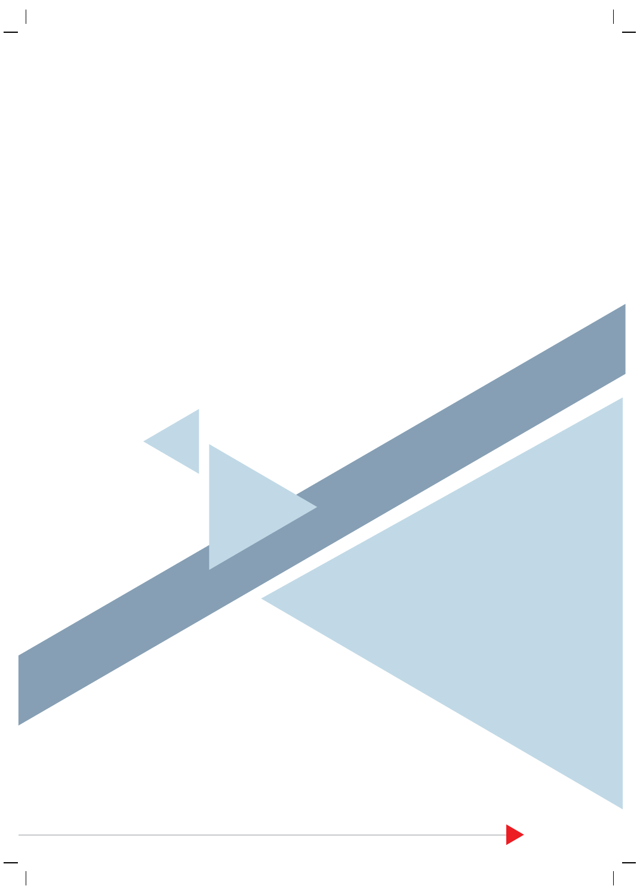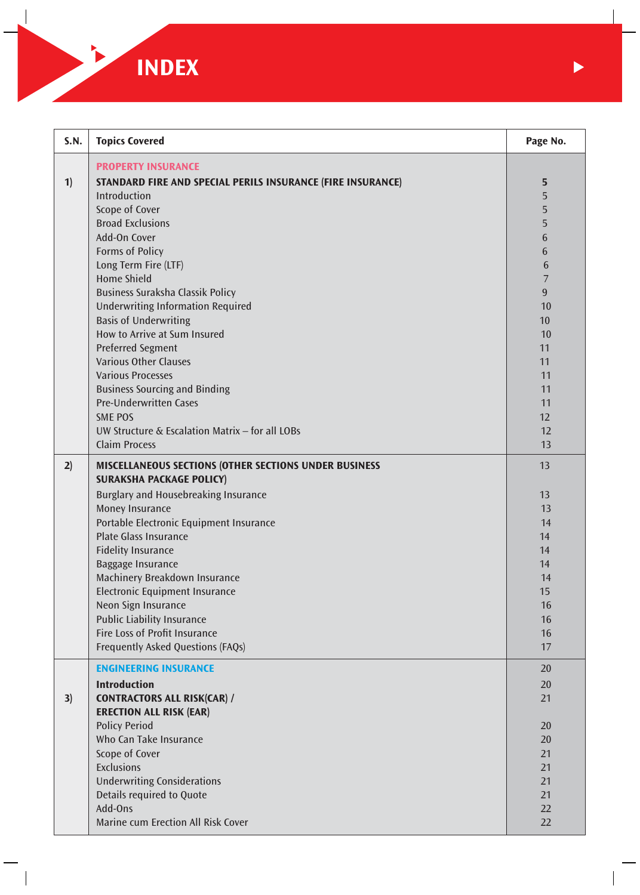## **INDEX**

 $\overline{\phantom{a}}$ 

 $\sim$   $\,$   $\,$ 

| S.N. | <b>Topics Covered</b>                                                                    | Page No.        |
|------|------------------------------------------------------------------------------------------|-----------------|
|      | <b>PROPERTY INSURANCE</b>                                                                |                 |
| 1)   | STANDARD FIRE AND SPECIAL PERILS INSURANCE (FIRE INSURANCE)                              | 5               |
|      | Introduction                                                                             | 5               |
|      | Scope of Cover                                                                           | 5               |
|      | <b>Broad Exclusions</b>                                                                  | 5               |
|      | Add-On Cover                                                                             | $6\phantom{.}6$ |
|      | <b>Forms of Policy</b>                                                                   | 6               |
|      |                                                                                          |                 |
|      | Long Term Fire (LTF)<br><b>Home Shield</b>                                               | $6\phantom{.}6$ |
|      |                                                                                          | 7               |
|      | <b>Business Suraksha Classik Policy</b>                                                  | 9               |
|      | <b>Underwriting Information Required</b>                                                 | 10              |
|      | <b>Basis of Underwriting</b>                                                             | 10              |
|      | How to Arrive at Sum Insured                                                             | 10              |
|      | <b>Preferred Segment</b>                                                                 | 11              |
|      | <b>Various Other Clauses</b>                                                             | 11              |
|      | <b>Various Processes</b>                                                                 | 11              |
|      | <b>Business Sourcing and Binding</b>                                                     | 11              |
|      | <b>Pre-Underwritten Cases</b>                                                            | 11              |
|      | <b>SME POS</b>                                                                           | 12              |
|      | UW Structure & Escalation Matrix - for all LOBs                                          | 12              |
|      | <b>Claim Process</b>                                                                     | 13              |
|      |                                                                                          |                 |
| 2)   | MISCELLANEOUS SECTIONS (OTHER SECTIONS UNDER BUSINESS<br><b>SURAKSHA PACKAGE POLICY)</b> | 13              |
|      | Burglary and Housebreaking Insurance                                                     | 13              |
|      | <b>Money Insurance</b>                                                                   | 13              |
|      | Portable Electronic Equipment Insurance                                                  | 14              |
|      | <b>Plate Glass Insurance</b>                                                             | 14              |
|      |                                                                                          |                 |
|      | <b>Fidelity Insurance</b>                                                                | 14              |
|      | <b>Baggage Insurance</b>                                                                 | 14              |
|      | Machinery Breakdown Insurance                                                            | 14              |
|      | <b>Electronic Equipment Insurance</b>                                                    | 15              |
|      | Neon Sign Insurance                                                                      | 16              |
|      | <b>Public Liability Insurance</b>                                                        | 16              |
|      | <b>Fire Loss of Profit Insurance</b>                                                     | 16              |
|      | <b>Frequently Asked Questions (FAQs)</b>                                                 | 17              |
|      | <b>ENGINEERING INSURANCE</b>                                                             | 20              |
|      | <b>Introduction</b>                                                                      | 20              |
| 3)   | <b>CONTRACTORS ALL RISK(CAR) /</b>                                                       | 21              |
|      | <b>ERECTION ALL RISK (EAR)</b>                                                           |                 |
|      | <b>Policy Period</b>                                                                     | 20              |
|      |                                                                                          |                 |
|      | Who Can Take Insurance                                                                   | 20              |
|      | Scope of Cover                                                                           | 21              |
|      | <b>Exclusions</b>                                                                        | 21              |
|      | <b>Underwriting Considerations</b>                                                       | 21              |
|      | Details required to Quote                                                                | 21              |
|      | Add-Ons                                                                                  | 22              |
|      | Marine cum Erection All Risk Cover                                                       | 22              |
|      |                                                                                          |                 |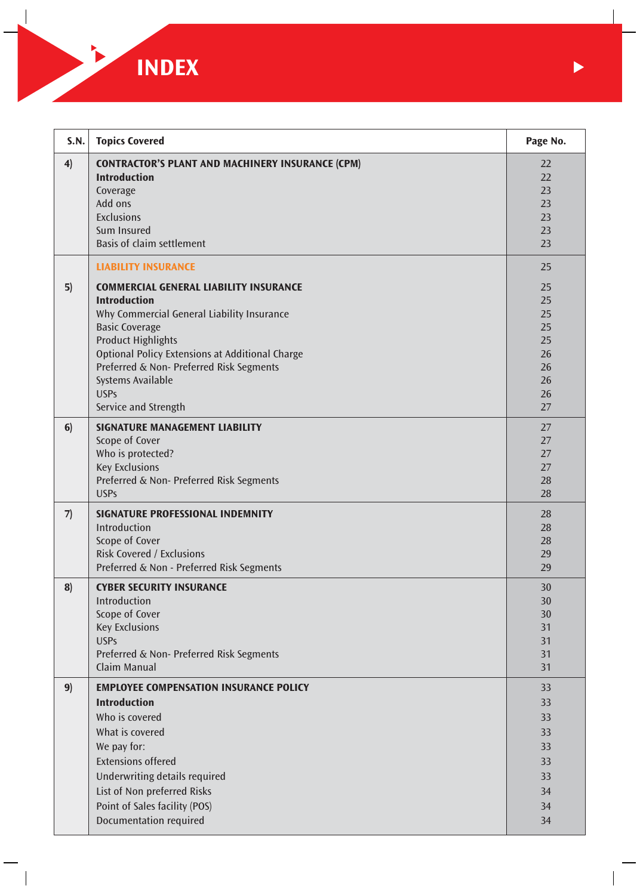**INDEX**

| S.N. | <b>Topics Covered</b>                                                                                                                                                                                                                                                                                                                             | Page No.                                                 |
|------|---------------------------------------------------------------------------------------------------------------------------------------------------------------------------------------------------------------------------------------------------------------------------------------------------------------------------------------------------|----------------------------------------------------------|
| 4)   | <b>CONTRACTOR'S PLANT AND MACHINERY INSURANCE (CPM)</b><br><b>Introduction</b><br>Coverage<br>Add ons<br><b>Exclusions</b><br>Sum Insured<br><b>Basis of claim settlement</b>                                                                                                                                                                     | 22<br>22<br>23<br>23<br>23<br>23<br>23                   |
|      | <b>LIABILITY INSURANCE</b>                                                                                                                                                                                                                                                                                                                        | 25                                                       |
| 5)   | <b>COMMERCIAL GENERAL LIABILITY INSURANCE</b><br><b>Introduction</b><br>Why Commercial General Liability Insurance<br><b>Basic Coverage</b><br><b>Product Highlights</b><br><b>Optional Policy Extensions at Additional Charge</b><br>Preferred & Non- Preferred Risk Segments<br><b>Systems Available</b><br><b>USPs</b><br>Service and Strength | 25<br>25<br>25<br>25<br>25<br>26<br>26<br>26<br>26<br>27 |
| 6)   | <b>SIGNATURE MANAGEMENT LIABILITY</b><br>Scope of Cover<br>Who is protected?<br><b>Key Exclusions</b><br>Preferred & Non- Preferred Risk Segments<br><b>USPs</b>                                                                                                                                                                                  | 27<br>27<br>27<br>27<br>28<br>28                         |
| 7)   | <b>SIGNATURE PROFESSIONAL INDEMNITY</b><br>Introduction<br>Scope of Cover<br><b>Risk Covered / Exclusions</b><br>Preferred & Non - Preferred Risk Segments                                                                                                                                                                                        | 28<br>28<br>28<br>29<br>29                               |
| 8)   | <b>CYBER SECURITY INSURANCE</b><br>Introduction<br>Scope of Cover<br><b>Key Exclusions</b><br><b>USPs</b><br>Preferred & Non- Preferred Risk Segments<br>Claim Manual                                                                                                                                                                             | 30<br>30<br>30<br>31<br>31<br>31<br>31                   |
| 9)   | <b>EMPLOYEE COMPENSATION INSURANCE POLICY</b><br><b>Introduction</b><br>Who is covered<br>What is covered<br>We pay for:<br><b>Extensions offered</b><br>Underwriting details required<br>List of Non preferred Risks<br>Point of Sales facility (POS)<br><b>Documentation required</b>                                                           | 33<br>33<br>33<br>33<br>33<br>33<br>33<br>34<br>34<br>34 |

 $\blacktriangleright$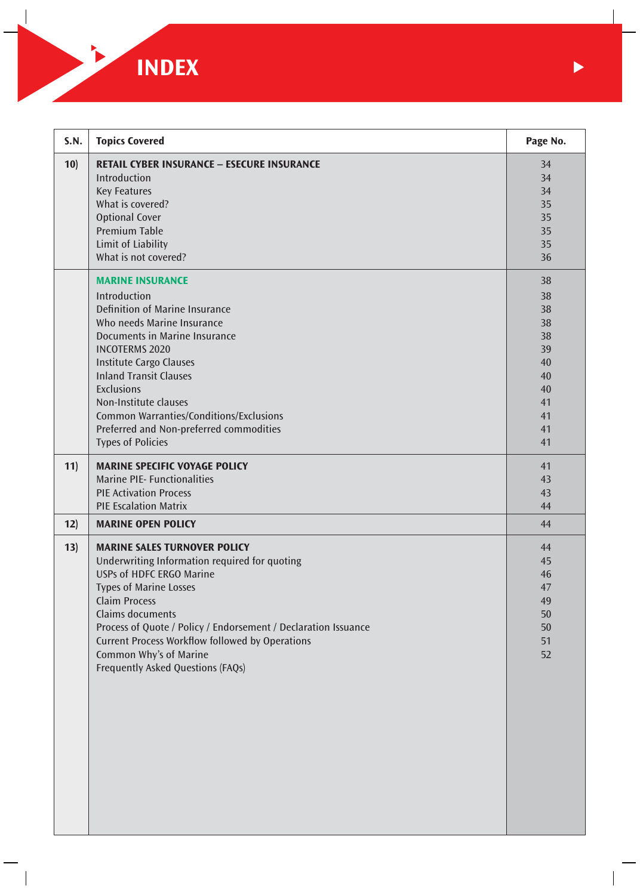**INDEX**

 $\overline{\phantom{a}}$ 

 $\sim$   $\,$   $\,$ 

| <b>S.N.</b> | <b>Topics Covered</b>                                                                                                                                                                                                                                                                                                                                                                                                | Page No.                                                                   |
|-------------|----------------------------------------------------------------------------------------------------------------------------------------------------------------------------------------------------------------------------------------------------------------------------------------------------------------------------------------------------------------------------------------------------------------------|----------------------------------------------------------------------------|
| 10)         | <b>RETAIL CYBER INSURANCE - ESECURE INSURANCE</b><br>Introduction<br><b>Key Features</b><br>What is covered?<br><b>Optional Cover</b><br><b>Premium Table</b><br>Limit of Liability<br>What is not covered?                                                                                                                                                                                                          | 34<br>34<br>34<br>35<br>35<br>35<br>35<br>36                               |
|             | <b>MARINE INSURANCE</b><br>Introduction<br>Definition of Marine Insurance<br>Who needs Marine Insurance<br>Documents in Marine Insurance<br><b>INCOTERMS 2020</b><br><b>Institute Cargo Clauses</b><br><b>Inland Transit Clauses</b><br><b>Exclusions</b><br>Non-Institute clauses<br><b>Common Warranties/Conditions/Exclusions</b><br>Preferred and Non-preferred commodities<br><b>Types of Policies</b>          | 38<br>38<br>38<br>38<br>38<br>39<br>40<br>40<br>40<br>41<br>41<br>41<br>41 |
| 11)         | <b>MARINE SPECIFIC VOYAGE POLICY</b><br><b>Marine PIE- Functionalities</b><br><b>PIE Activation Process</b><br><b>PIE Escalation Matrix</b>                                                                                                                                                                                                                                                                          | 41<br>43<br>43<br>44                                                       |
| 12)         | <b>MARINE OPEN POLICY</b>                                                                                                                                                                                                                                                                                                                                                                                            | 44                                                                         |
| 13)         | <b>MARINE SALES TURNOVER POLICY</b><br>Underwriting Information required for quoting<br><b>USPs of HDFC ERGO Marine</b><br><b>Types of Marine Losses</b><br><b>Claim Process</b><br><b>Claims documents</b><br>Process of Quote / Policy / Endorsement / Declaration Issuance<br><b>Current Process Workflow followed by Operations</b><br><b>Common Why's of Marine</b><br><b>Frequently Asked Questions (FAQs)</b> | 44<br>45<br>46<br>47<br>49<br>50<br>50<br>51<br>52                         |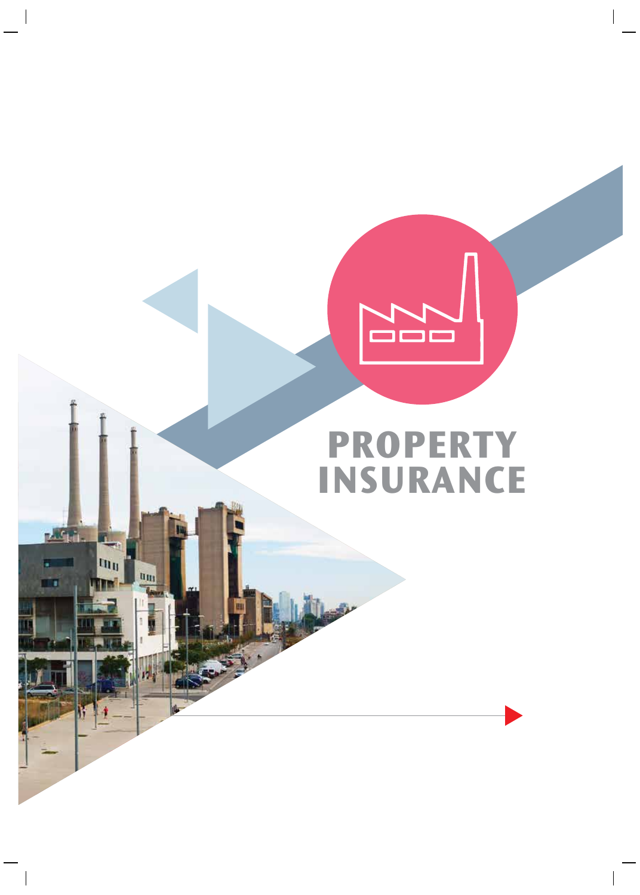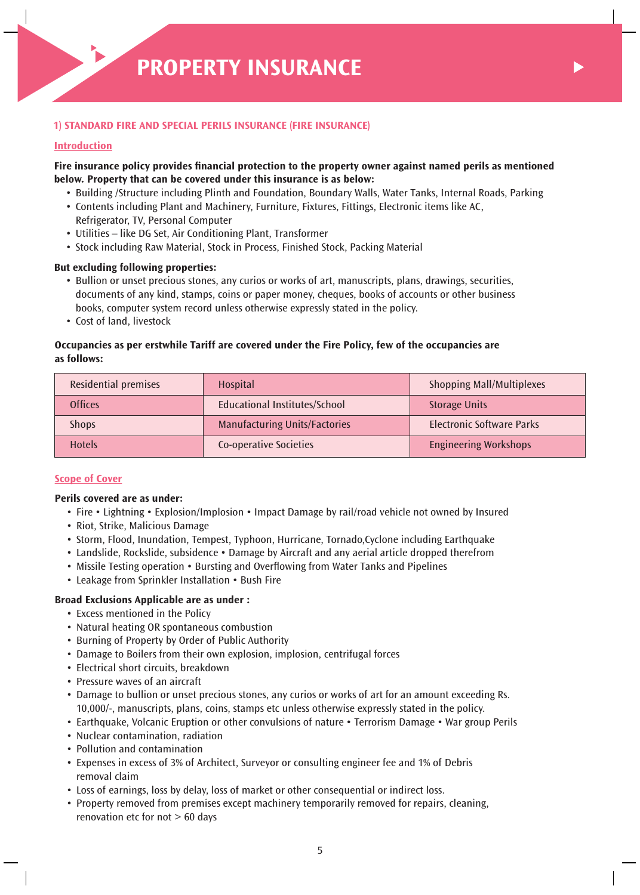#### **1) STANDARD FIRE AND SPECIAL PERILS INSURANCE (FIRE INSURANCE)**

#### **Introduction**

#### **Fire insurance policy provides financial protection to the property owner against named perils as mentioned below. Property that can be covered under this insurance is as below:**

- Building /Structure including Plinth and Foundation, Boundary Walls, Water Tanks, Internal Roads, Parking
- Contents including Plant and Machinery, Furniture, Fixtures, Fittings, Electronic items like AC, Refrigerator, TV, Personal Computer
- Utilities like DG Set, Air Conditioning Plant, Transformer
- Stock including Raw Material, Stock in Process, Finished Stock, Packing Material

#### **But excluding following properties:**

- Bullion or unset precious stones, any curios or works of art, manuscripts, plans, drawings, securities, documents of any kind, stamps, coins or paper money, cheques, books of accounts or other business books, computer system record unless otherwise expressly stated in the policy.
- Cost of land, livestock

#### **Occupancies as per erstwhile Tariff are covered under the Fire Policy, few of the occupancies are as follows:**

| <b>Residential premises</b> | <b>Hospital</b>                      | <b>Shopping Mall/Multiplexes</b> |
|-----------------------------|--------------------------------------|----------------------------------|
| <b>Offices</b>              | <b>Educational Institutes/School</b> | <b>Storage Units</b>             |
| <b>Shops</b>                | <b>Manufacturing Units/Factories</b> | <b>Electronic Software Parks</b> |
| <b>Hotels</b>               | <b>Co-operative Societies</b>        | <b>Engineering Workshops</b>     |

#### **Scope of Cover**

#### **Perils covered are as under:**

- Fire Lightning Explosion/Implosion Impact Damage by rail/road vehicle not owned by Insured
- Riot, Strike, Malicious Damage
- Storm, Flood, Inundation, Tempest, Typhoon, Hurricane, Tornado,Cyclone including Earthquake
- Landslide, Rockslide, subsidence Damage by Aircraft and any aerial article dropped therefrom
- Missile Testing operation Bursting and Overflowing from Water Tanks and Pipelines
- Leakage from Sprinkler Installation Bush Fire

#### **Broad Exclusions Applicable are as under :**

- Excess mentioned in the Policy
- Natural heating OR spontaneous combustion
- Burning of Property by Order of Public Authority
- Damage to Boilers from their own explosion, implosion, centrifugal forces
- Electrical short circuits, breakdown
- Pressure waves of an aircraft
- Damage to bullion or unset precious stones, any curios or works of art for an amount exceeding Rs. 10,000/-, manuscripts, plans, coins, stamps etc unless otherwise expressly stated in the policy.
- Earthquake, Volcanic Eruption or other convulsions of nature Terrorism Damage War group Perils
- Nuclear contamination, radiation
- Pollution and contamination
- Expenses in excess of 3% of Architect, Surveyor or consulting engineer fee and 1% of Debris removal claim
- Loss of earnings, loss by delay, loss of market or other consequential or indirect loss.
- Property removed from premises except machinery temporarily removed for repairs, cleaning, renovation etc for not > 60 days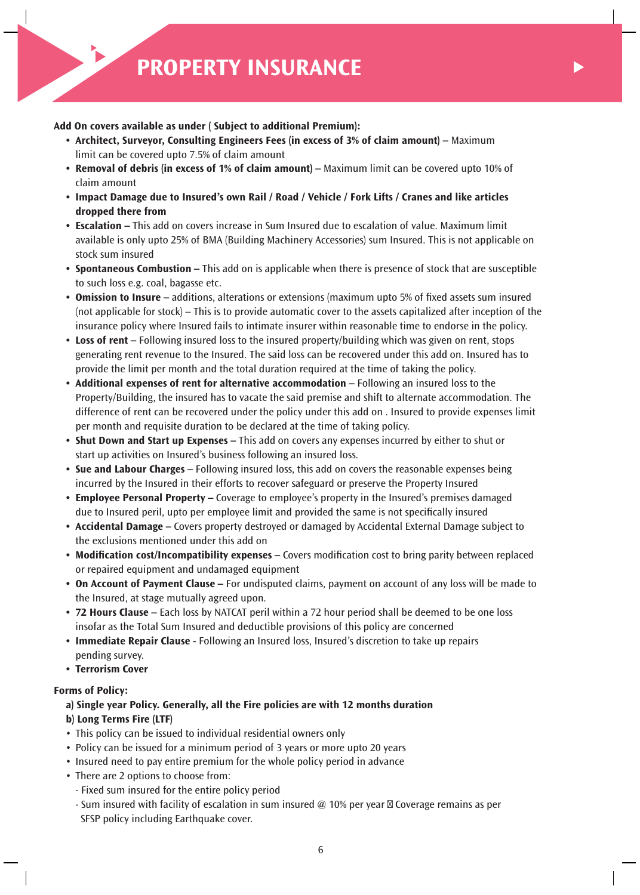#### **Add On covers available as under ( Subject to additional Premium):**

- **Architect, Surveyor, Consulting Engineers Fees (in excess of 3% of claim amount)** Maximum limit can be covered upto 7.5% of claim amount
- **Removal of debris (in excess of 1% of claim amount) –** Maximum limit can be covered upto 10% of claim amount
- **Impact Damage due to Insured's own Rail / Road / Vehicle / Fork Lifts / Cranes and like articles dropped there from**
- **Escalation –** This add on covers increase in Sum Insured due to escalation of value. Maximum limit available is only upto 25% of BMA (Building Machinery Accessories) sum Insured. This is not applicable on stock sum insured
- **Spontaneous Combustion –** This add on is applicable when there is presence of stock that are susceptible to such loss e.g. coal, bagasse etc.
- **Omission to Insure** additions, alterations or extensions (maximum upto 5% of fixed assets sum insured (not applicable for stock) – This is to provide automatic cover to the assets capitalized after inception of the insurance policy where Insured fails to intimate insurer within reasonable time to endorse in the policy.
- **Loss of rent** Following insured loss to the insured property/building which was given on rent, stops generating rent revenue to the Insured. The said loss can be recovered under this add on. Insured has to provide the limit per month and the total duration required at the time of taking the policy.
- **Additional expenses of rent for alternative accommodation** Following an insured loss to the Property/Building, the insured has to vacate the said premise and shift to alternate accommodation. The difference of rent can be recovered under the policy under this add on . Insured to provide expenses limit per month and requisite duration to be declared at the time of taking policy.
- **Shut Down and Start up Expenses –** This add on covers any expenses incurred by either to shut or start up activities on Insured's business following an insured loss.
- **Sue and Labour Charges –** Following insured loss, this add on covers the reasonable expenses being incurred by the Insured in their efforts to recover safeguard or preserve the Property Insured
- **Employee Personal Property –** Coverage to employee's property in the Insured's premises damaged due to Insured peril, upto per employee limit and provided the same is not specifically insured
- **Accidental Damage –** Covers property destroyed or damaged by Accidental External Damage subject to the exclusions mentioned under this add on
- **Modification cost/Incompatibility expenses** Covers modification cost to bring parity between replaced or repaired equipment and undamaged equipment
- **On Account of Payment Clause** For undisputed claims, payment on account of any loss will be made to the Insured, at stage mutually agreed upon.
- **72 Hours Clause** Each loss by NATCAT peril within a 72 hour period shall be deemed to be one loss insofar as the Total Sum Insured and deductible provisions of this policy are concerned
- **Immediate Repair Clause** Following an Insured loss, Insured's discretion to take up repairs pending survey.
- **Terrorism Cover**

#### **Forms of Policy:**

#### **a) Single year Policy. Generally, all the Fire policies are with 12 months duration b) Long Terms Fire (LTF)**

- This policy can be issued to individual residential owners only
- Policy can be issued for a minimum period of 3 years or more upto 20 years
- Insured need to pay entire premium for the whole policy period in advance
- There are 2 options to choose from:
	- Fixed sum insured for the entire policy period
	- Sum insured with facility of escalation in sum insured @ 10% per year Coverage remains as per SFSP policy including Earthquake cover.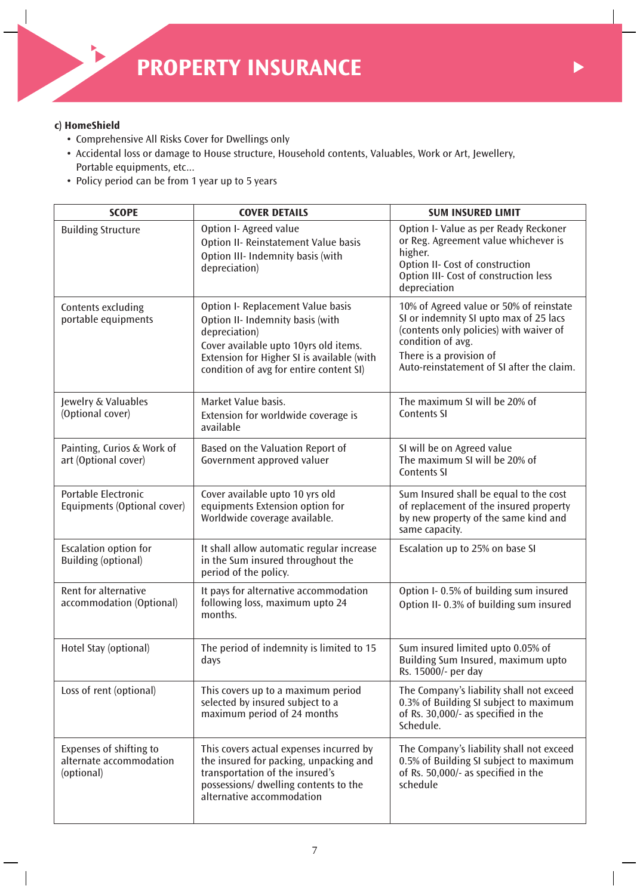#### **c) HomeShield**

- Comprehensive All Risks Cover for Dwellings only
- Accidental loss or damage to House structure, Household contents, Valuables, Work or Art, Jewellery, Portable equipments, etc...
- Policy period can be from 1 year up to 5 years

| <b>SCOPE</b>                                                     | <b>COVER DETAILS</b>                                                                                                                                                                                                     | <b>SUM INSURED LIMIT</b>                                                                                                                                                                                                  |  |
|------------------------------------------------------------------|--------------------------------------------------------------------------------------------------------------------------------------------------------------------------------------------------------------------------|---------------------------------------------------------------------------------------------------------------------------------------------------------------------------------------------------------------------------|--|
| <b>Building Structure</b>                                        | Option I- Agreed value<br>Option II- Reinstatement Value basis<br>Option III- Indemnity basis (with<br>depreciation)                                                                                                     | Option I- Value as per Ready Reckoner<br>or Reg. Agreement value whichever is<br>higher.<br>Option II- Cost of construction<br>Option III- Cost of construction less<br>depreciation                                      |  |
| Contents excluding<br>portable equipments                        | Option I- Replacement Value basis<br>Option II- Indemnity basis (with<br>depreciation)<br>Cover available upto 10yrs old items.<br>Extension for Higher SI is available (with<br>condition of avg for entire content SI) | 10% of Agreed value or 50% of reinstate<br>SI or indemnity SI upto max of 25 lacs<br>(contents only policies) with waiver of<br>condition of avg.<br>There is a provision of<br>Auto-reinstatement of SI after the claim. |  |
| Jewelry & Valuables<br>(Optional cover)                          | Market Value basis.<br>Extension for worldwide coverage is<br>available                                                                                                                                                  | The maximum SI will be 20% of<br><b>Contents SI</b>                                                                                                                                                                       |  |
| Painting, Curios & Work of<br>art (Optional cover)               | Based on the Valuation Report of<br>Government approved valuer                                                                                                                                                           | SI will be on Agreed value<br>The maximum SI will be 20% of<br><b>Contents SI</b>                                                                                                                                         |  |
| Portable Electronic<br>Equipments (Optional cover)               | Cover available upto 10 yrs old<br>equipments Extension option for<br>Worldwide coverage available.                                                                                                                      | Sum Insured shall be equal to the cost<br>of replacement of the insured property<br>by new property of the same kind and<br>same capacity.                                                                                |  |
| <b>Escalation option for</b><br><b>Building (optional)</b>       | It shall allow automatic regular increase<br>in the Sum insured throughout the<br>period of the policy.                                                                                                                  | Escalation up to 25% on base SI                                                                                                                                                                                           |  |
| Rent for alternative<br>accommodation (Optional)                 | It pays for alternative accommodation<br>following loss, maximum upto 24<br>months.                                                                                                                                      | Option I-0.5% of building sum insured<br>Option II-0.3% of building sum insured                                                                                                                                           |  |
| Hotel Stay (optional)                                            | The period of indemnity is limited to 15<br>days                                                                                                                                                                         | Sum insured limited upto 0.05% of<br>Building Sum Insured, maximum upto<br>Rs. 15000/- per day                                                                                                                            |  |
| Loss of rent (optional)                                          | This covers up to a maximum period<br>selected by insured subject to a<br>maximum period of 24 months                                                                                                                    | The Company's liability shall not exceed<br>0.3% of Building SI subject to maximum<br>of Rs. 30,000/- as specified in the<br>Schedule.                                                                                    |  |
| Expenses of shifting to<br>alternate accommodation<br>(optional) | This covers actual expenses incurred by<br>the insured for packing, unpacking and<br>transportation of the insured's<br>possessions/ dwelling contents to the<br>alternative accommodation                               | The Company's liability shall not exceed<br>0.5% of Building SI subject to maximum<br>of Rs. 50,000/- as specified in the<br>schedule                                                                                     |  |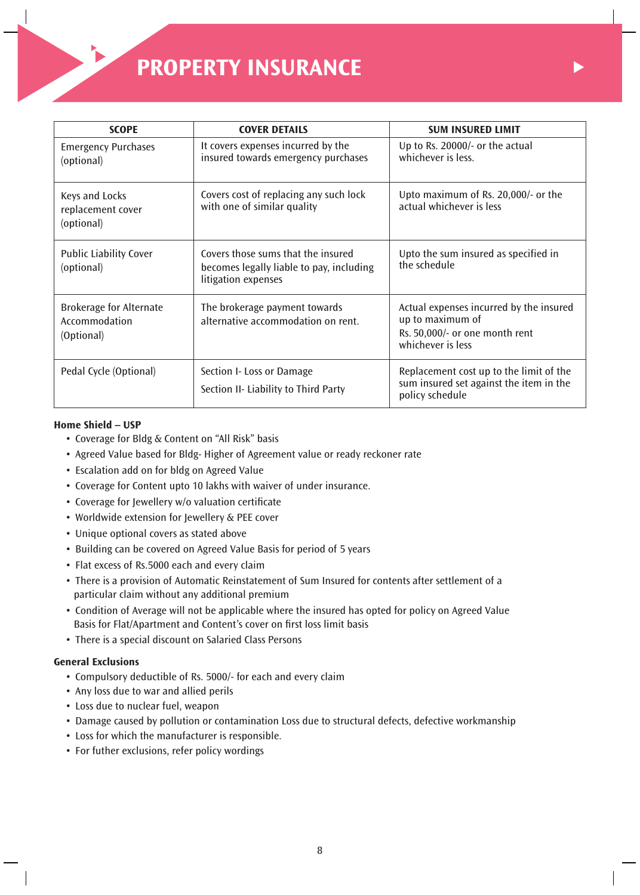| <b>SCOPE</b>                                                  | <b>COVER DETAILS</b>                                                                                  | <b>SUM INSURED LIMIT</b>                                                                                           |
|---------------------------------------------------------------|-------------------------------------------------------------------------------------------------------|--------------------------------------------------------------------------------------------------------------------|
| <b>Emergency Purchases</b><br>(optional)                      | It covers expenses incurred by the<br>insured towards emergency purchases                             | Up to Rs. 20000/- or the actual<br>whichever is less.                                                              |
| Keys and Locks<br>replacement cover<br>(optional)             | Covers cost of replacing any such lock<br>with one of similar quality                                 | Upto maximum of Rs. 20,000/- or the<br>actual whichever is less                                                    |
| <b>Public Liability Cover</b><br>(optional)                   | Covers those sums that the insured<br>becomes legally liable to pay, including<br>litigation expenses | Upto the sum insured as specified in<br>the schedule                                                               |
| <b>Brokerage for Alternate</b><br>Accommodation<br>(Optional) | The brokerage payment towards<br>alternative accommodation on rent.                                   | Actual expenses incurred by the insured<br>up to maximum of<br>Rs. 50,000/- or one month rent<br>whichever is less |
| Pedal Cycle (Optional)                                        | Section I- Loss or Damage<br>Section II- Liability to Third Party                                     | Replacement cost up to the limit of the<br>sum insured set against the item in the<br>policy schedule              |

#### **Home Shield – USP**

- Coverage for Bldg & Content on "All Risk" basis
- Agreed Value based for Bldg- Higher of Agreement value or ready reckoner rate
- Escalation add on for bldg on Agreed Value
- Coverage for Content upto 10 lakhs with waiver of under insurance.
- Coverage for Jewellery w/o valuation certificate
- Worldwide extension for Jewellery & PEE cover
- Unique optional covers as stated above
- Building can be covered on Agreed Value Basis for period of 5 years
- Flat excess of Rs.5000 each and every claim
- There is a provision of Automatic Reinstatement of Sum Insured for contents after settlement of a particular claim without any additional premium
- Condition of Average will not be applicable where the insured has opted for policy on Agreed Value Basis for Flat/Apartment and Content's cover on first loss limit basis
- There is a special discount on Salaried Class Persons

#### **General Exclusions**

- Compulsory deductible of Rs. 5000/- for each and every claim
- Any loss due to war and allied perils
- Loss due to nuclear fuel, weapon
- Damage caused by pollution or contamination Loss due to structural defects, defective workmanship
- Loss for which the manufacturer is responsible.
- For futher exclusions, refer policy wordings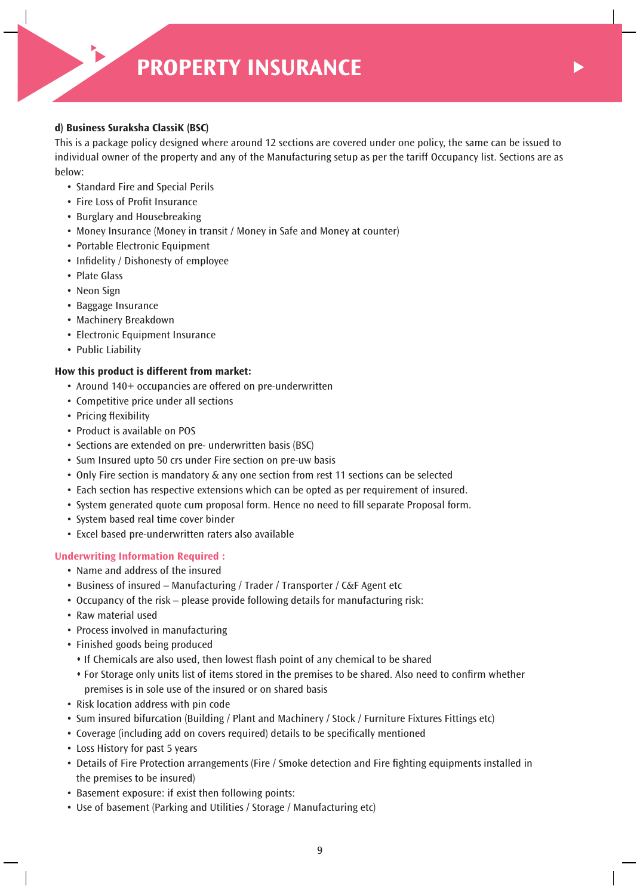#### **d) Business Suraksha ClassiK (BSC)**

This is a package policy designed where around 12 sections are covered under one policy, the same can be issued to individual owner of the property and any of the Manufacturing setup as per the tariff Occupancy list. Sections are as below:

- Standard Fire and Special Perils
- Fire Loss of Profit Insurance
- Burglary and Housebreaking
- Money Insurance (Money in transit / Money in Safe and Money at counter)
- Portable Electronic Equipment
- Infidelity / Dishonesty of employee
- Plate Glass
- Neon Sign
- Baggage Insurance
- Machinery Breakdown
- Electronic Equipment Insurance
- Public Liability

#### **How this product is different from market:**

- Around 140+ occupancies are offered on pre-underwritten
- Competitive price under all sections
- Pricing flexibility
- Product is available on POS
- Sections are extended on pre- underwritten basis (BSC)
- Sum Insured upto 50 crs under Fire section on pre-uw basis
- Only Fire section is mandatory & any one section from rest 11 sections can be selected
- Each section has respective extensions which can be opted as per requirement of insured.
- System generated quote cum proposal form. Hence no need to fill separate Proposal form.
- System based real time cover binder
- Excel based pre-underwritten raters also available

#### **Underwriting Information Required :**

- Name and address of the insured
- Business of insured Manufacturing / Trader / Transporter / C&F Agent etc
- Occupancy of the risk please provide following details for manufacturing risk:
- Raw material used
- Process involved in manufacturing
- Finished goods being produced
- If Chemicals are also used, then lowest flash point of any chemical to be shared
- For Storage only units list of items stored in the premises to be shared. Also need to confirm whether premises is in sole use of the insured or on shared basis
- Risk location address with pin code
- Sum insured bifurcation (Building / Plant and Machinery / Stock / Furniture Fixtures Fittings etc)
- Coverage (including add on covers required) details to be specifically mentioned
- Loss History for past 5 years
- Details of Fire Protection arrangements (Fire / Smoke detection and Fire fighting equipments installed in the premises to be insured)
- Basement exposure: if exist then following points:
- Use of basement (Parking and Utilities / Storage / Manufacturing etc)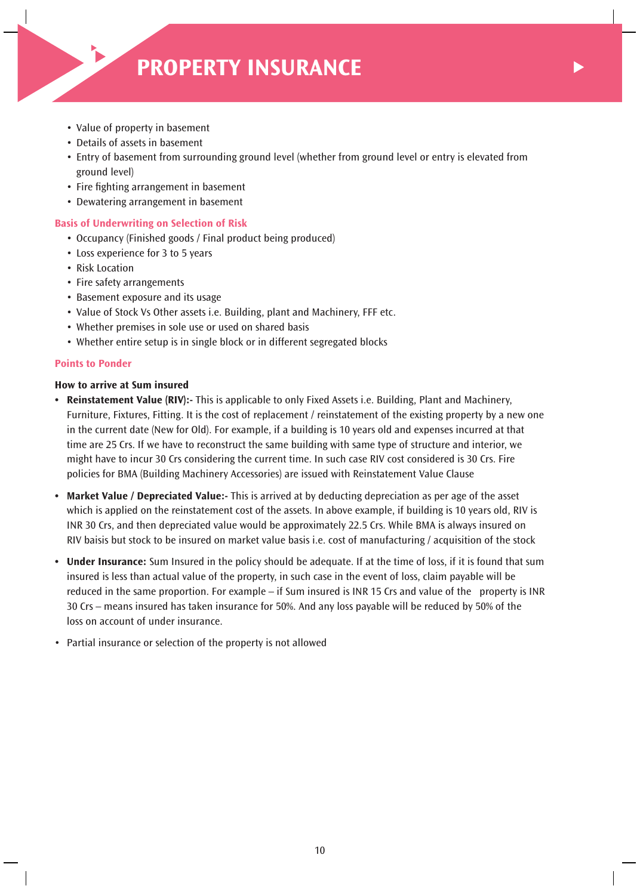- Value of property in basement
- Details of assets in basement
- Entry of basement from surrounding ground level (whether from ground level or entry is elevated from ground level)
- Fire fighting arrangement in basement
- Dewatering arrangement in basement

#### **Basis of Underwriting on Selection of Risk**

- Occupancy (Finished goods / Final product being produced)
- Loss experience for 3 to 5 years
- Risk Location
- Fire safety arrangements
- Basement exposure and its usage
- Value of Stock Vs Other assets i.e. Building, plant and Machinery, FFF etc.
- Whether premises in sole use or used on shared basis
- Whether entire setup is in single block or in different segregated blocks

#### **Points to Ponder**

#### **How to arrive at Sum insured**

- **Reinstatement Value (RIV):-** This is applicable to only Fixed Assets i.e. Building, Plant and Machinery, Furniture, Fixtures, Fitting. It is the cost of replacement / reinstatement of the existing property by a new one in the current date (New for Old). For example, if a building is 10 years old and expenses incurred at that time are 25 Crs. If we have to reconstruct the same building with same type of structure and interior, we might have to incur 30 Crs considering the current time. In such case RIV cost considered is 30 Crs. Fire policies for BMA (Building Machinery Accessories) are issued with Reinstatement Value Clause
- **Market Value / Depreciated Value:-** This is arrived at by deducting depreciation as per age of the asset which is applied on the reinstatement cost of the assets. In above example, if building is 10 years old, RIV is INR 30 Crs, and then depreciated value would be approximately 22.5 Crs. While BMA is always insured on RIV baisis but stock to be insured on market value basis i.e. cost of manufacturing / acquisition of the stock
- **Under Insurance:** Sum Insured in the policy should be adequate. If at the time of loss, if it is found that sum insured is less than actual value of the property, in such case in the event of loss, claim payable will be reduced in the same proportion. For example – if Sum insured is INR 15 Crs and value of the property is INR 30 Crs – means insured has taken insurance for 50%. And any loss payable will be reduced by 50% of the loss on account of under insurance.
- Partial insurance or selection of the property is not allowed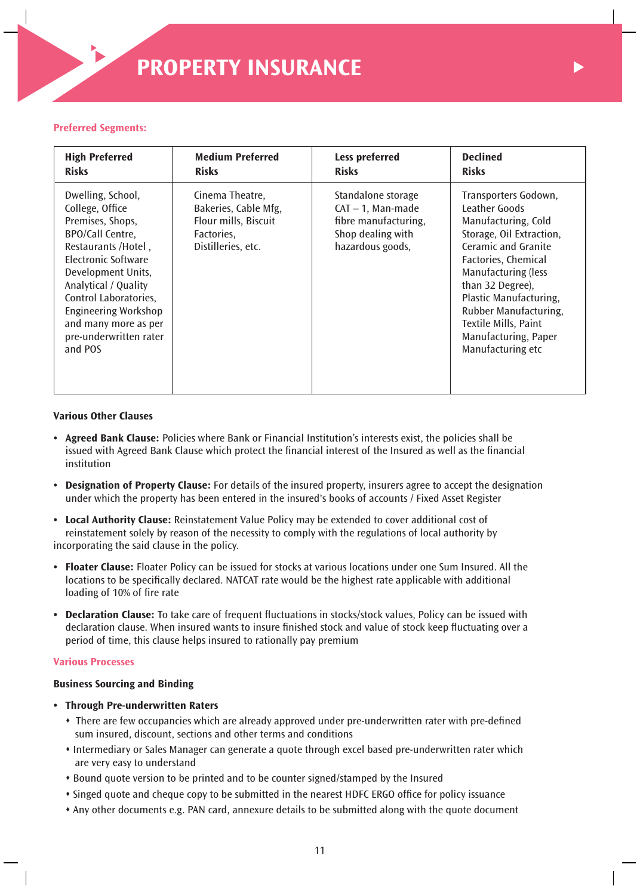#### **Preferred Segments:**

| <b>High Preferred</b>                                                                                                                                                                                                                                                                                 | <b>Medium Preferred</b>                                                                             | <b>Less preferred</b>                                                                                       | <b>Declined</b>                                                                                                                                                                                                                                                                                                                 |
|-------------------------------------------------------------------------------------------------------------------------------------------------------------------------------------------------------------------------------------------------------------------------------------------------------|-----------------------------------------------------------------------------------------------------|-------------------------------------------------------------------------------------------------------------|---------------------------------------------------------------------------------------------------------------------------------------------------------------------------------------------------------------------------------------------------------------------------------------------------------------------------------|
| <b>Risks</b>                                                                                                                                                                                                                                                                                          | <b>Risks</b>                                                                                        | <b>Risks</b>                                                                                                | <b>Risks</b>                                                                                                                                                                                                                                                                                                                    |
| Dwelling, School,<br>College, Office<br>Premises, Shops,<br>BPO/Call Centre,<br>Restaurants / Hotel,<br><b>Electronic Software</b><br>Development Units,<br>Analytical / Quality<br>Control Laboratories,<br><b>Engineering Workshop</b><br>and many more as per<br>pre-underwritten rater<br>and POS | Cinema Theatre,<br>Bakeries, Cable Mfg,<br>Flour mills, Biscuit<br>Factories,<br>Distilleries, etc. | Standalone storage<br>$CAT - 1$ , Man-made<br>fibre manufacturing,<br>Shop dealing with<br>hazardous goods, | Transporters Godown,<br>Leather Goods<br>Manufacturing, Cold<br>Storage, Oil Extraction,<br><b>Ceramic and Granite</b><br>Factories, Chemical<br><b>Manufacturing (less)</b><br>than 32 Degree),<br><b>Plastic Manufacturing,</b><br>Rubber Manufacturing,<br>Textile Mills, Paint<br>Manufacturing, Paper<br>Manufacturing etc |

#### **Various Other Clauses**

- **Agreed Bank Clause:** Policies where Bank or Financial Institution's interests exist, the policies shall be issued with Agreed Bank Clause which protect the financial interest of the Insured as well as the financial institution
- **Designation of Property Clause:** For details of the insured property, insurers agree to accept the designation under which the property has been entered in the insured's books of accounts / Fixed Asset Register
- **Local Authority Clause:** Reinstatement Value Policy may be extended to cover additional cost of reinstatement solely by reason of the necessity to comply with the regulations of local authority by incorporating the said clause in the policy.
- **Floater Clause:** Floater Policy can be issued for stocks at various locations under one Sum Insured. All the locations to be specifically declared. NATCAT rate would be the highest rate applicable with additional loading of 10% of fire rate
- **Declaration Clause:** To take care of frequent fluctuations in stocks/stock values, Policy can be issued with declaration clause. When insured wants to insure finished stock and value of stock keep fluctuating over a period of time, this clause helps insured to rationally pay premium

#### **Various Processes**

#### **Business Sourcing and Binding**

- **Through Pre-underwritten Raters**
	- There are few occupancies which are already approved under pre-underwritten rater with pre-defined sum insured, discount, sections and other terms and conditions
	- Intermediary or Sales Manager can generate a quote through excel based pre-underwritten rater which are very easy to understand
	- Bound quote version to be printed and to be counter signed/stamped by the Insured
	- Singed quote and cheque copy to be submitted in the nearest HDFC ERGO office for policy issuance
	- Any other documents e.g. PAN card, annexure details to be submitted along with the quote document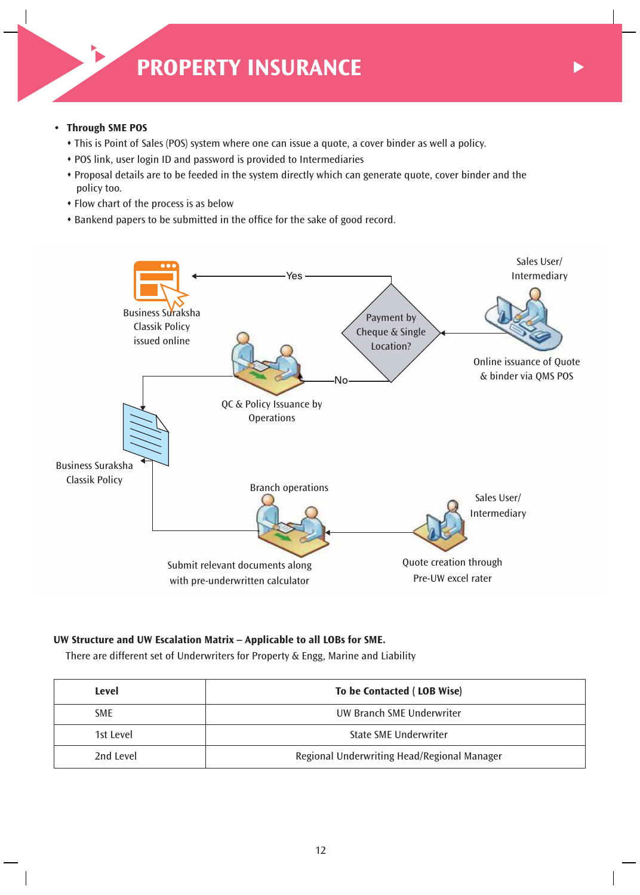- This is Point of Sales (POS) system where one can issue a quote, a cover binder as well a policy.
- POS link, user login ID and password is provided to Intermediaries
- Proposal details are to be feeded in the system directly which can generate quote, cover binder and the policy too.
- Flow chart of the process is as below
- Bankend papers to be submitted in the office for the sake of good record.



#### **UW Structure and UW Escalation Matrix – Applicable to all LOBs for SME.**

There are different set of Underwriters for Property & Engg, Marine and Liability

| Level      | To be Contacted (LOB Wise)                  |  |
|------------|---------------------------------------------|--|
| <b>SME</b> | UW Branch SME Underwriter                   |  |
| 1st Level  | State SME Underwriter                       |  |
| 2nd Level  | Regional Underwriting Head/Regional Manager |  |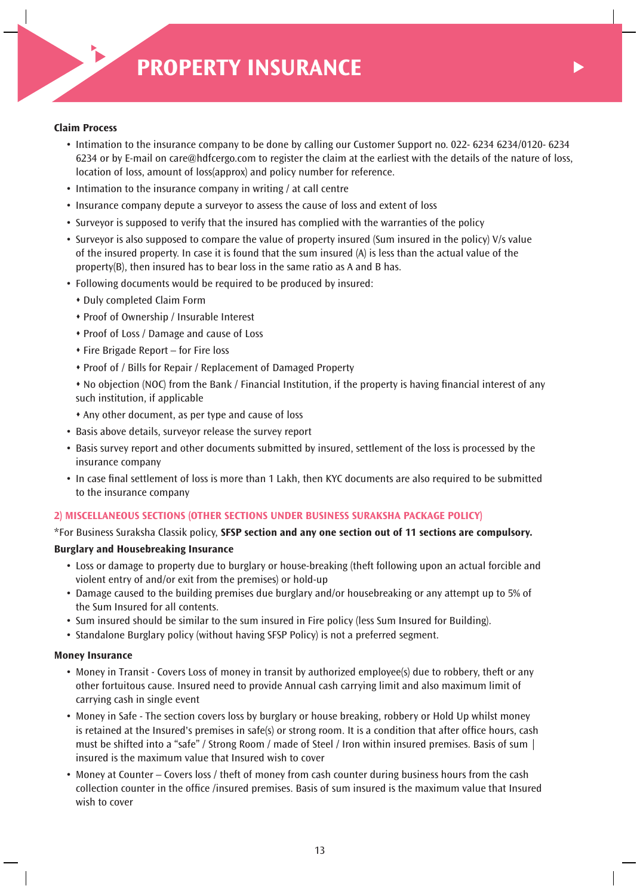#### **Claim Process**

- Intimation to the insurance company to be done by calling our Customer Support no. 022- 6234 6234/0120- 6234 6234 or by E-mail on care@hdfcergo.com to register the claim at the earliest with the details of the nature of loss, location of loss, amount of loss(approx) and policy number for reference.
- Intimation to the insurance company in writing / at call centre
- Insurance company depute a surveyor to assess the cause of loss and extent of loss
- Surveyor is supposed to verify that the insured has complied with the warranties of the policy
- Surveyor is also supposed to compare the value of property insured (Sum insured in the policy) V/s value of the insured property. In case it is found that the sum insured (A) is less than the actual value of the property(B), then insured has to bear loss in the same ratio as A and B has.
- Following documents would be required to be produced by insured:
	- Duly completed Claim Form
	- Proof of Ownership / Insurable Interest
	- Proof of Loss / Damage and cause of Loss
	- $\cdot$  Fire Brigade Report for Fire loss
	- Proof of / Bills for Repair / Replacement of Damaged Property
	- No objection (NOC) from the Bank / Financial Institution, if the property is having financial interest of any such institution, if applicable
	- Any other document, as per type and cause of loss
- Basis above details, surveyor release the survey report
- Basis survey report and other documents submitted by insured, settlement of the loss is processed by the insurance company
- In case final settlement of loss is more than 1 Lakh, then KYC documents are also required to be submitted to the insurance company

#### **2) MISCELLANEOUS SECTIONS (OTHER SECTIONS UNDER BUSINESS SURAKSHA PACKAGE POLICY)**

#### \*For Business Suraksha Classik policy, **SFSP section and any one section out of 11 sections are compulsory.**

#### **Burglary and Housebreaking Insurance**

- Loss or damage to property due to burglary or house-breaking (theft following upon an actual forcible and violent entry of and/or exit from the premises) or hold-up
- Damage caused to the building premises due burglary and/or housebreaking or any attempt up to 5% of the Sum Insured for all contents.
- Sum insured should be similar to the sum insured in Fire policy (less Sum Insured for Building).
- Standalone Burglary policy (without having SFSP Policy) is not a preferred segment.

#### **Money Insurance**

- Money in Transit Covers Loss of money in transit by authorized employee(s) due to robbery, theft or any other fortuitous cause. Insured need to provide Annual cash carrying limit and also maximum limit of carrying cash in single event
- Money in Safe The section covers loss by burglary or house breaking, robbery or Hold Up whilst money is retained at the Insured's premises in safe(s) or strong room. It is a condition that after office hours, cash must be shifted into a "safe" / Strong Room / made of Steel / Iron within insured premises. Basis of sum | insured is the maximum value that Insured wish to cover
- Money at Counter Covers loss / theft of money from cash counter during business hours from the cash collection counter in the office /insured premises. Basis of sum insured is the maximum value that Insured wish to cover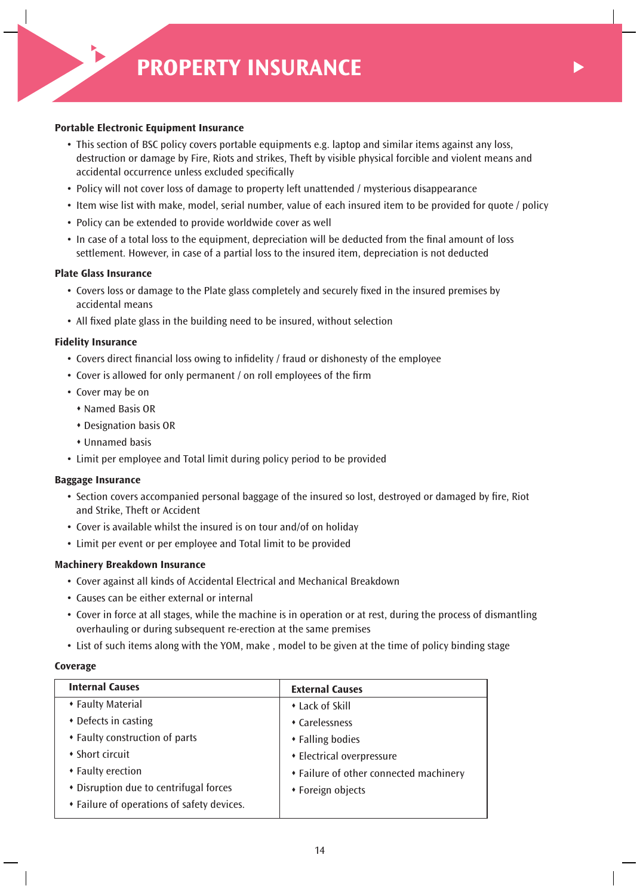#### **Portable Electronic Equipment Insurance**

- This section of BSC policy covers portable equipments e.g. laptop and similar items against any loss, destruction or damage by Fire, Riots and strikes, Theft by visible physical forcible and violent means and accidental occurrence unless excluded specifically
- Policy will not cover loss of damage to property left unattended / mysterious disappearance
- Item wise list with make, model, serial number, value of each insured item to be provided for quote / policy
- Policy can be extended to provide worldwide cover as well
- In case of a total loss to the equipment, depreciation will be deducted from the final amount of loss settlement. However, in case of a partial loss to the insured item, depreciation is not deducted

#### **Plate Glass Insurance**

- Covers loss or damage to the Plate glass completely and securely fixed in the insured premises by accidental means
- All fixed plate glass in the building need to be insured, without selection

#### **Fidelity Insurance**

- Covers direct financial loss owing to infidelity / fraud or dishonesty of the employee
- Cover is allowed for only permanent / on roll employees of the firm
- Cover may be on
	- Named Basis OR
	- Designation basis OR
	- Unnamed basis
- Limit per employee and Total limit during policy period to be provided

#### **Baggage Insurance**

- Section covers accompanied personal baggage of the insured so lost, destroyed or damaged by fire, Riot and Strike, Theft or Accident
- Cover is available whilst the insured is on tour and/of on holiday
- Limit per event or per employee and Total limit to be provided

#### **Machinery Breakdown Insurance**

- Cover against all kinds of Accidental Electrical and Mechanical Breakdown
- Causes can be either external or internal
- Cover in force at all stages, while the machine is in operation or at rest, during the process of dismantling overhauling or during subsequent re-erection at the same premises
- List of such items along with the YOM, make , model to be given at the time of policy binding stage

#### **Coverage**

| <b>Internal Causes</b>                     | <b>External Causes</b>                 |
|--------------------------------------------|----------------------------------------|
| • Faulty Material                          | • Lack of Skill                        |
| • Defects in casting                       | • Carelessness                         |
| • Faulty construction of parts             | ◆ Falling bodies                       |
| ◆ Short circuit                            | • Electrical overpressure              |
| • Faulty erection                          | • Failure of other connected machinery |
| • Disruption due to centrifugal forces     | • Foreign objects                      |
| • Failure of operations of safety devices. |                                        |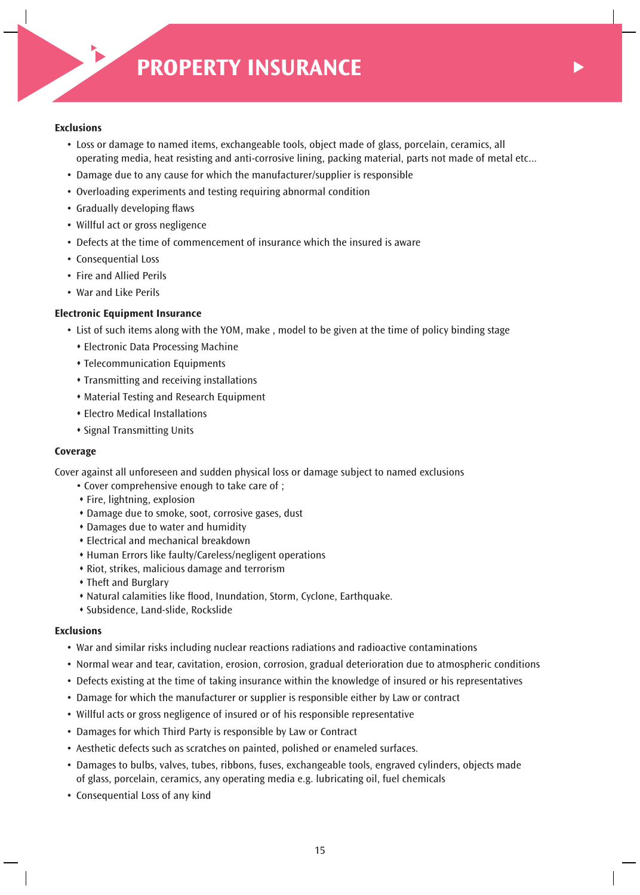#### **Exclusions**

- Loss or damage to named items, exchangeable tools, object made of glass, porcelain, ceramics, all operating media, heat resisting and anti-corrosive lining, packing material, parts not made of metal etc...
- Damage due to any cause for which the manufacturer/supplier is responsible
- Overloading experiments and testing requiring abnormal condition
- Gradually developing flaws
- Willful act or gross negligence
- Defects at the time of commencement of insurance which the insured is aware
- Consequential Loss
- Fire and Allied Perils
- War and Like Perils

#### **Electronic Equipment Insurance**

- List of such items along with the YOM, make , model to be given at the time of policy binding stage
	- Electronic Data Processing Machine
	- Telecommunication Equipments
	- Transmitting and receiving installations
	- Material Testing and Research Equipment
	- Electro Medical Installations
	- **\* Signal Transmitting Units**

#### **Coverage**

Cover against all unforeseen and sudden physical loss or damage subject to named exclusions

- Cover comprehensive enough to take care of ;
- Fire, lightning, explosion
- Damage due to smoke, soot, corrosive gases, dust
- Damages due to water and humidity
- Electrical and mechanical breakdown
- Human Errors like faulty/Careless/negligent operations
- Riot, strikes, malicious damage and terrorism
- Theft and Burglary
- Natural calamities like flood, Inundation, Storm, Cyclone, Earthquake.
- Subsidence, Land-slide, Rockslide

#### **Exclusions**

- War and similar risks including nuclear reactions radiations and radioactive contaminations
- Normal wear and tear, cavitation, erosion, corrosion, gradual deterioration due to atmospheric conditions
- Defects existing at the time of taking insurance within the knowledge of insured or his representatives
- Damage for which the manufacturer or supplier is responsible either by Law or contract
- Willful acts or gross negligence of insured or of his responsible representative
- Damages for which Third Party is responsible by Law or Contract
- Aesthetic defects such as scratches on painted, polished or enameled surfaces.
- Damages to bulbs, valves, tubes, ribbons, fuses, exchangeable tools, engraved cylinders, objects made of glass, porcelain, ceramics, any operating media e.g. lubricating oil, fuel chemicals
- Consequential Loss of any kind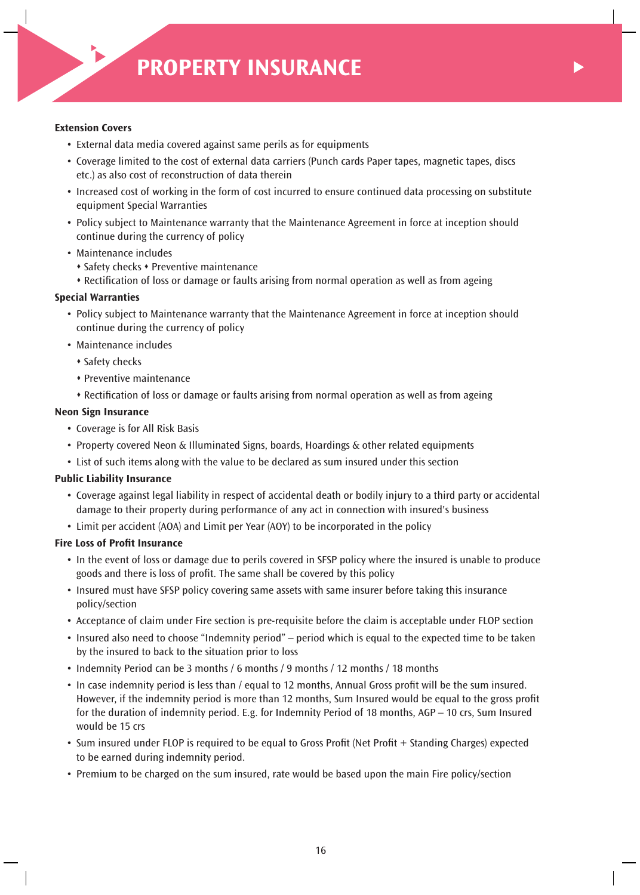#### **Extension Covers**

- External data media covered against same perils as for equipments
- Coverage limited to the cost of external data carriers (Punch cards Paper tapes, magnetic tapes, discs etc.) as also cost of reconstruction of data therein
- Increased cost of working in the form of cost incurred to ensure continued data processing on substitute equipment Special Warranties
- Policy subject to Maintenance warranty that the Maintenance Agreement in force at inception should continue during the currency of policy
- Maintenance includes
	- **\* Safety checks \* Preventive maintenance**
	- Rectification of loss or damage or faults arising from normal operation as well as from ageing

#### **Special Warranties**

- Policy subject to Maintenance warranty that the Maintenance Agreement in force at inception should continue during the currency of policy
- Maintenance includes
	- **\*** Safety checks
	- Preventive maintenance
	- Rectification of loss or damage or faults arising from normal operation as well as from ageing

#### **Neon Sign Insurance**

- Coverage is for All Risk Basis
- Property covered Neon & Illuminated Signs, boards, Hoardings & other related equipments
- List of such items along with the value to be declared as sum insured under this section

#### **Public Liability Insurance**

- Coverage against legal liability in respect of accidental death or bodily injury to a third party or accidental damage to their property during performance of any act in connection with insured's business
- Limit per accident (AOA) and Limit per Year (AOY) to be incorporated in the policy

#### **Fire Loss of Profit Insurance**

- In the event of loss or damage due to perils covered in SFSP policy where the insured is unable to produce goods and there is loss of profit. The same shall be covered by this policy
- Insured must have SFSP policy covering same assets with same insurer before taking this insurance policy/section
- Acceptance of claim under Fire section is pre-requisite before the claim is acceptable under FLOP section
- Insured also need to choose "Indemnity period" period which is equal to the expected time to be taken by the insured to back to the situation prior to loss
- Indemnity Period can be 3 months / 6 months / 9 months / 12 months / 18 months
- In case indemnity period is less than / equal to 12 months, Annual Gross profit will be the sum insured. However, if the indemnity period is more than 12 months, Sum Insured would be equal to the gross profit for the duration of indemnity period. E.g. for Indemnity Period of 18 months, AGP – 10 crs, Sum Insured would be 15 crs
- Sum insured under FLOP is required to be equal to Gross Profit (Net Profit + Standing Charges) expected to be earned during indemnity period.
- Premium to be charged on the sum insured, rate would be based upon the main Fire policy/section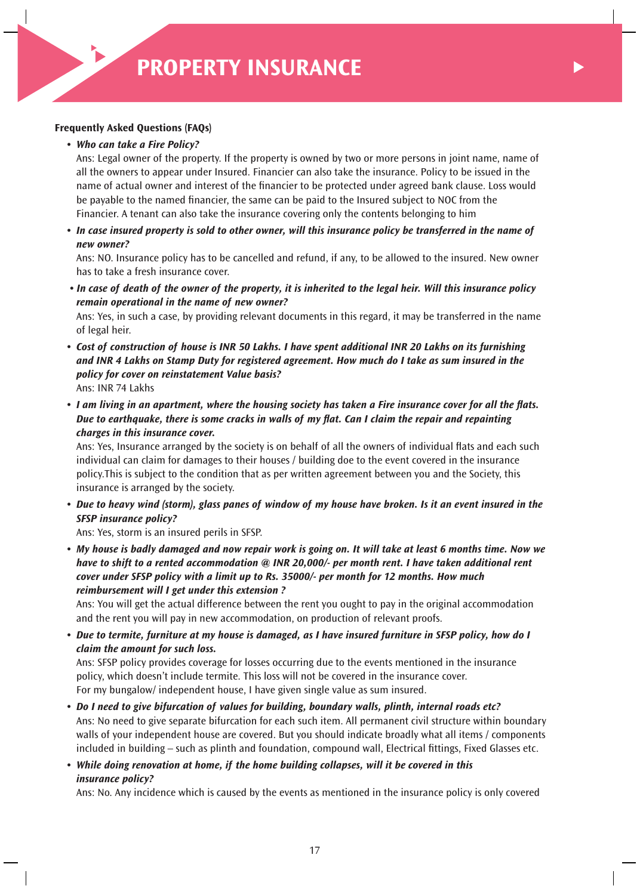#### **Frequently Asked Questions (FAQs)**

#### *• Who can take a Fire Policy?*

 Ans: Legal owner of the property. If the property is owned by two or more persons in joint name, name of all the owners to appear under Insured. Financier can also take the insurance. Policy to be issued in the name of actual owner and interest of the financier to be protected under agreed bank clause. Loss would be payable to the named financier, the same can be paid to the Insured subject to NOC from the Financier. A tenant can also take the insurance covering only the contents belonging to him

 *• In case insured property is sold to other owner, will this insurance policy be transferred in the name of new owner?*

 Ans: NO. Insurance policy has to be cancelled and refund, if any, to be allowed to the insured. New owner has to take a fresh insurance cover.

 *• In case of death of the owner of the property, it is inherited to the legal heir. Will this insurance policy remain operational in the name of new owner?*

 Ans: Yes, in such a case, by providing relevant documents in this regard, it may be transferred in the name of legal heir.

- *Cost of construction of house is INR 50 Lakhs. I have spent additional INR 20 Lakhs on its furnishing and INR 4 Lakhs on Stamp Duty for registered agreement. How much do I take as sum insured in the policy for cover on reinstatement Value basis?* Ans: INR 74 Lakhs
- *I am living in an apartment, where the housing society has taken a Fire insurance cover for all the flats. Due to earthquake, there is some cracks in walls of my flat. Can I claim the repair and repainting charges in this insurance cover.*

 Ans: Yes, Insurance arranged by the society is on behalf of all the owners of individual flats and each such individual can claim for damages to their houses / building doe to the event covered in the insurance policy.This is subject to the condition that as per written agreement between you and the Society, this insurance is arranged by the society.

*• Due to heavy wind (storm), glass panes of window of my house have broken. Is it an event insured in the SFSP insurance policy?*

Ans: Yes, storm is an insured perils in SFSP.

*• My house is badly damaged and now repair work is going on. It will take at least 6 months time. Now we have to shift to a rented accommodation @ INR 20,000/- per month rent. I have taken additional rent cover under SFSP policy with a limit up to Rs. 35000/- per month for 12 months. How much reimbursement will I get under this extension ?*

 Ans: You will get the actual difference between the rent you ought to pay in the original accommodation and the rent you will pay in new accommodation, on production of relevant proofs.

*• Due to termite, furniture at my house is damaged, as I have insured furniture in SFSP policy, how do I claim the amount for such loss.*

 Ans: SFSP policy provides coverage for losses occurring due to the events mentioned in the insurance policy, which doesn't include termite. This loss will not be covered in the insurance cover. For my bungalow/ independent house, I have given single value as sum insured.

- *Do I need to give bifurcation of values for building, boundary walls, plinth, internal roads etc?* Ans: No need to give separate bifurcation for each such item. All permanent civil structure within boundary walls of your independent house are covered. But you should indicate broadly what all items / components included in building – such as plinth and foundation, compound wall, Electrical fittings, Fixed Glasses etc.
- *While doing renovation at home, if the home building collapses, will it be covered in this insurance policy?*

Ans: No. Any incidence which is caused by the events as mentioned in the insurance policy is only covered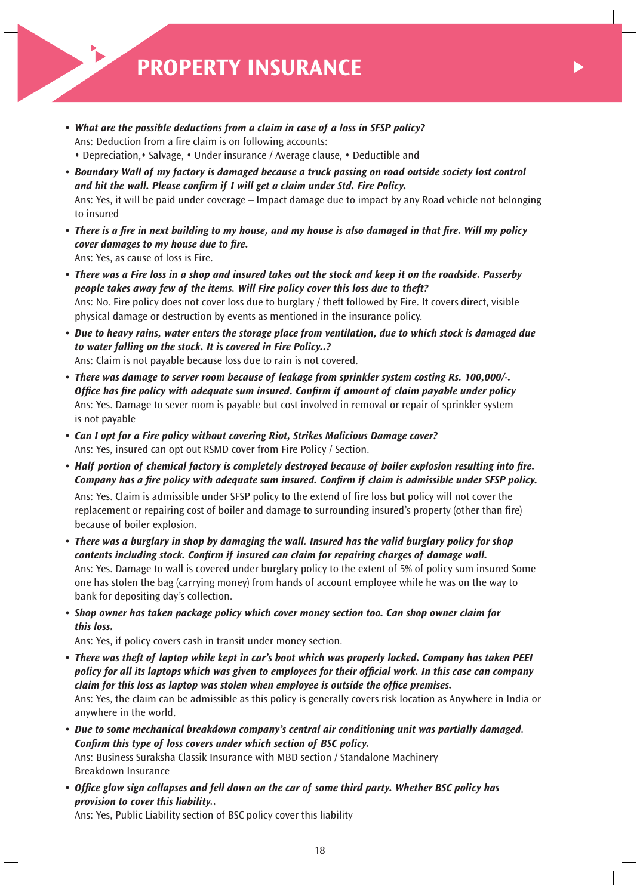- *What are the possible deductions from a claim in case of a loss in SFSP policy?* Ans: Deduction from a fire claim is on following accounts:
	- Depreciation, Salvage, Under insurance / Average clause, Deductible and
- *Boundary Wall of my factory is damaged because a truck passing on road outside society lost control and hit the wall. Please confirm if I will get a claim under Std. Fire Policy.* Ans: Yes, it will be paid under coverage – Impact damage due to impact by any Road vehicle not belonging to insured
- *There is a fire in next building to my house, and my house is also damaged in that fire. Will my policy cover damages to my house due to fire.* Ans: Yes, as cause of loss is Fire.
- *There was a Fire loss in a shop and insured takes out the stock and keep it on the roadside. Passerby people takes away few of the items. Will Fire policy cover this loss due to theft?* Ans: No. Fire policy does not cover loss due to burglary / theft followed by Fire. It covers direct, visible physical damage or destruction by events as mentioned in the insurance policy.
- *Due to heavy rains, water enters the storage place from ventilation, due to which stock is damaged due to water falling on the stock. It is covered in Fire Policy..?* Ans: Claim is not payable because loss due to rain is not covered.
- *There was damage to server room because of leakage from sprinkler system costing Rs. 100,000/-. Office has fire policy with adequate sum insured. Confirm if amount of claim payable under policy* Ans: Yes. Damage to sever room is payable but cost involved in removal or repair of sprinkler system is not payable
- *Can I opt for a Fire policy without covering Riot, Strikes Malicious Damage cover?* Ans: Yes, insured can opt out RSMD cover from Fire Policy / Section.
- *Half portion of chemical factory is completely destroyed because of boiler explosion resulting into fire. Company has a fire policy with adequate sum insured. Confirm if claim is admissible under SFSP policy.*

 Ans: Yes. Claim is admissible under SFSP policy to the extend of fire loss but policy will not cover the replacement or repairing cost of boiler and damage to surrounding insured's property (other than fire) because of boiler explosion.

- *There was a burglary in shop by damaging the wall. Insured has the valid burglary policy for shop contents including stock. Confirm if insured can claim for repairing charges of damage wall.* Ans: Yes. Damage to wall is covered under burglary policy to the extent of 5% of policy sum insured Some one has stolen the bag (carrying money) from hands of account employee while he was on the way to bank for depositing day's collection.
- *Shop owner has taken package policy which cover money section too. Can shop owner claim for this loss.*

Ans: Yes, if policy covers cash in transit under money section.

- *There was theft of laptop while kept in car's boot which was properly locked. Company has taken PEEI policy for all its laptops which was given to employees for their official work. In this case can company claim for this loss as laptop was stolen when employee is outside the office premises.* Ans: Yes, the claim can be admissible as this policy is generally covers risk location as Anywhere in India or anywhere in the world.
- *Due to some mechanical breakdown company's central air conditioning unit was partially damaged. Confirm this type of loss covers under which section of BSC policy.* Ans: Business Suraksha Classik Insurance with MBD section / Standalone Machinery Breakdown Insurance
- *Office glow sign collapses and fell down on the car of some third party. Whether BSC policy has provision to cover this liability..*

Ans: Yes, Public Liability section of BSC policy cover this liability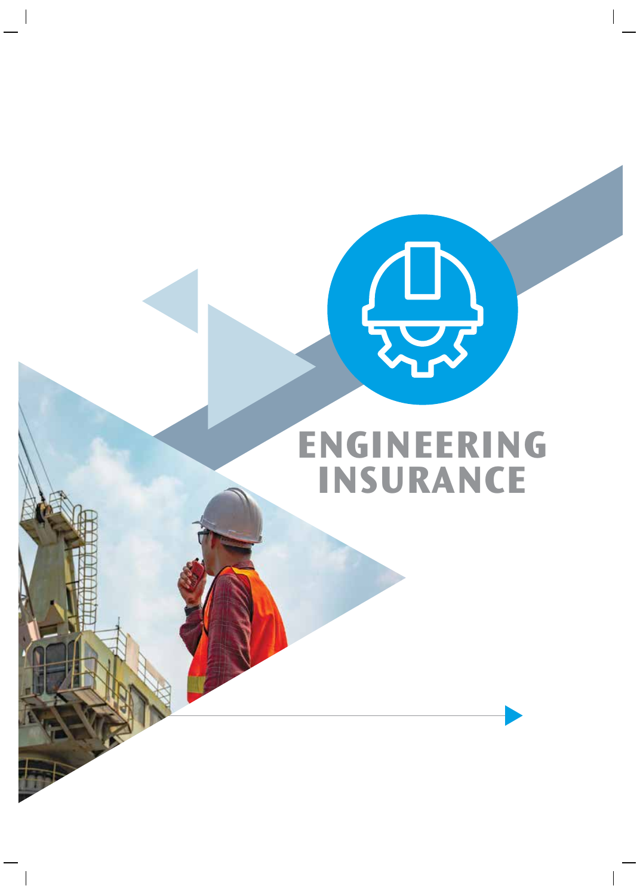## **ENGINEERING INSURANCE**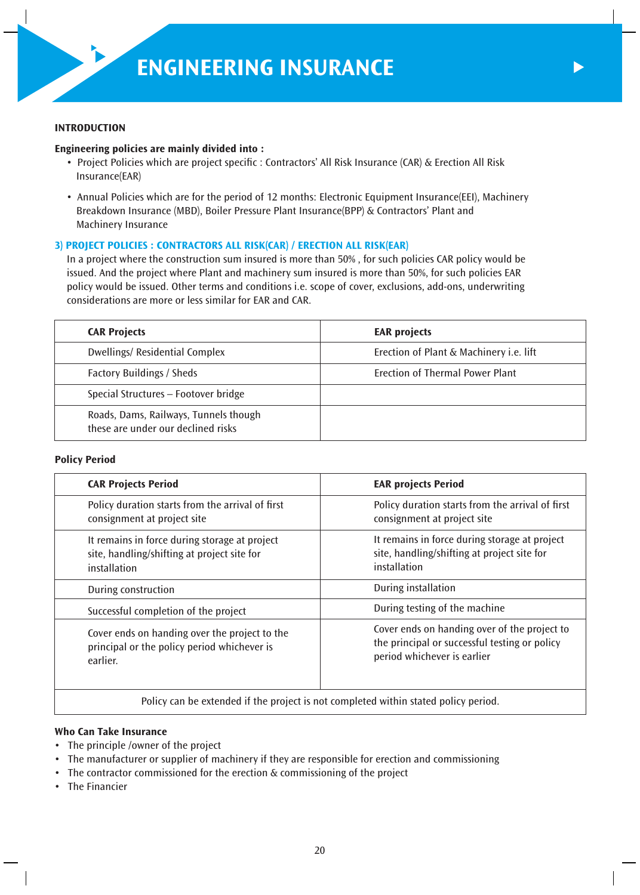#### **INTRODUCTION**

#### **Engineering policies are mainly divided into :**

- Project Policies which are project specific : Contractors' All Risk Insurance (CAR) & Erection All Risk Insurance(EAR)
- Annual Policies which are for the period of 12 months: Electronic Equipment Insurance(EEI), Machinery Breakdown Insurance (MBD), Boiler Pressure Plant Insurance(BPP) & Contractors' Plant and Machinery Insurance

#### **3) PROJECT POLICIES : CONTRACTORS ALL RISK(CAR) / ERECTION ALL RISK(EAR)**

 In a project where the construction sum insured is more than 50% , for such policies CAR policy would be issued. And the project where Plant and machinery sum insured is more than 50%, for such policies EAR policy would be issued. Other terms and conditions i.e. scope of cover, exclusions, add-ons, underwriting considerations are more or less similar for EAR and CAR.

| <b>CAR Projects</b>                                                         | <b>EAR</b> projects                     |
|-----------------------------------------------------------------------------|-----------------------------------------|
| <b>Dwellings/ Residential Complex</b>                                       | Erection of Plant & Machinery i.e. lift |
| <b>Factory Buildings / Sheds</b>                                            | <b>Erection of Thermal Power Plant</b>  |
| Special Structures - Footover bridge                                        |                                         |
| Roads, Dams, Railways, Tunnels though<br>these are under our declined risks |                                         |

#### **Policy Period**

| <b>EAR projects Period</b>                                                                                                   |
|------------------------------------------------------------------------------------------------------------------------------|
| Policy duration starts from the arrival of first<br>consignment at project site                                              |
| It remains in force during storage at project<br>site, handling/shifting at project site for<br>installation                 |
| During installation                                                                                                          |
| During testing of the machine                                                                                                |
| Cover ends on handing over of the project to<br>the principal or successful testing or policy<br>period whichever is earlier |
|                                                                                                                              |

#### **Who Can Take Insurance**

- The principle /owner of the project
- The manufacturer or supplier of machinery if they are responsible for erection and commissioning
- The contractor commissioned for the erection & commissioning of the project
- The Financier

20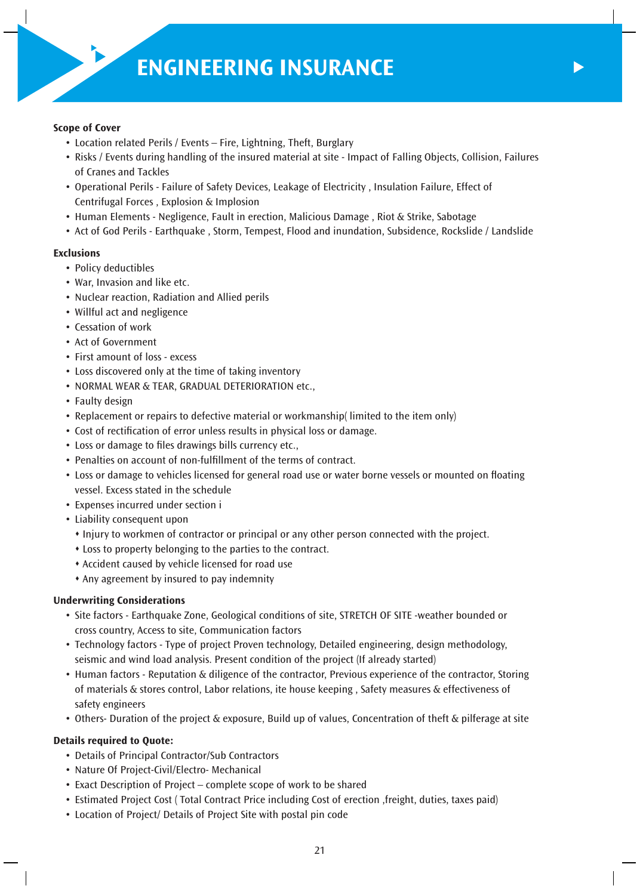#### **Scope of Cover**

- Location related Perils / Events Fire, Lightning, Theft, Burglary
- Risks / Events during handling of the insured material at site Impact of Falling Objects, Collision, Failures of Cranes and Tackles
- Operational Perils Failure of Safety Devices, Leakage of Electricity , Insulation Failure, Effect of Centrifugal Forces , Explosion & Implosion
- Human Elements Negligence, Fault in erection, Malicious Damage , Riot & Strike, Sabotage
- Act of God Perils Earthquake , Storm, Tempest, Flood and inundation, Subsidence, Rockslide / Landslide

#### **Exclusions**

- Policy deductibles
- War, Invasion and like etc.
- Nuclear reaction, Radiation and Allied perils
- Willful act and negligence
- Cessation of work
- Act of Government
- First amount of loss excess
- Loss discovered only at the time of taking inventory
- NORMAL WEAR & TEAR, GRADUAL DETERIORATION etc.,
- Faulty design
- Replacement or repairs to defective material or workmanship( limited to the item only)
- Cost of rectification of error unless results in physical loss or damage.
- Loss or damage to files drawings bills currency etc.,
- Penalties on account of non-fulfillment of the terms of contract.
- Loss or damage to vehicles licensed for general road use or water borne vessels or mounted on floating vessel. Excess stated in the schedule
- Expenses incurred under section i
- Liability consequent upon
	- Injury to workmen of contractor or principal or any other person connected with the project.
	- Loss to property belonging to the parties to the contract.
	- Accident caused by vehicle licensed for road use
- Any agreement by insured to pay indemnity

#### **Underwriting Considerations**

- Site factors Earthquake Zone, Geological conditions of site, STRETCH OF SITE -weather bounded or cross country, Access to site, Communication factors
- Technology factors Type of project Proven technology, Detailed engineering, design methodology, seismic and wind load analysis. Present condition of the project (If already started)
- Human factors Reputation & diligence of the contractor, Previous experience of the contractor, Storing of materials & stores control, Labor relations, ite house keeping , Safety measures & effectiveness of safety engineers
- Others- Duration of the project & exposure, Build up of values, Concentration of theft & pilferage at site

#### **Details required to Quote:**

- Details of Principal Contractor/Sub Contractors
- Nature Of Project-Civil/Electro- Mechanical
- Exact Description of Project complete scope of work to be shared
- Estimated Project Cost ( Total Contract Price including Cost of erection ,freight, duties, taxes paid)
- Location of Project/ Details of Project Site with postal pin code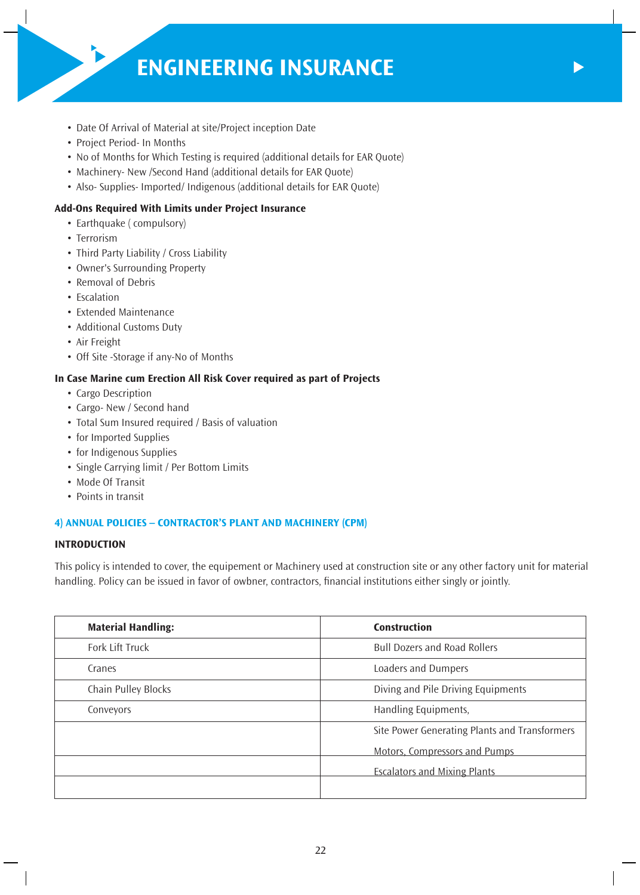### **ENGINEERING INSURANCE**

- Date Of Arrival of Material at site/Project inception Date
- Project Period- In Months
- No of Months for Which Testing is required (additional details for EAR Quote)
- Machinery- New /Second Hand (additional details for EAR Quote)
- Also- Supplies- Imported/ Indigenous (additional details for EAR Quote)

#### **Add-Ons Required With Limits under Project Insurance**

- Earthquake ( compulsory)
- Terrorism
- Third Party Liability / Cross Liability
- Owner's Surrounding Property
- Removal of Debris
- Escalation
- Extended Maintenance
- Additional Customs Duty
- Air Freight
- Off Site -Storage if any-No of Months

#### **In Case Marine cum Erection All Risk Cover required as part of Projects**

- Cargo Description
- Cargo- New / Second hand
- Total Sum Insured required / Basis of valuation
- for Imported Supplies
- for Indigenous Supplies
- Single Carrying limit / Per Bottom Limits
- Mode Of Transit
- Points in transit

#### **4) ANNUAL POLICIES – CONTRACTOR'S PLANT AND MACHINERY (CPM)**

#### **INTRODUCTION**

This policy is intended to cover, the equipement or Machinery used at construction site or any other factory unit for material handling. Policy can be issued in favor of owbner, contractors, financial institutions either singly or jointly.

| <b>Material Handling:</b> | <b>Construction</b>                           |
|---------------------------|-----------------------------------------------|
| <b>Fork Lift Truck</b>    | <b>Bull Dozers and Road Rollers</b>           |
| Cranes                    | Loaders and Dumpers                           |
| Chain Pulley Blocks       | Diving and Pile Driving Equipments            |
| Conveyors                 | Handling Equipments,                          |
|                           | Site Power Generating Plants and Transformers |
|                           | Motors, Compressors and Pumps                 |
|                           | <b>Escalators and Mixing Plants</b>           |
|                           |                                               |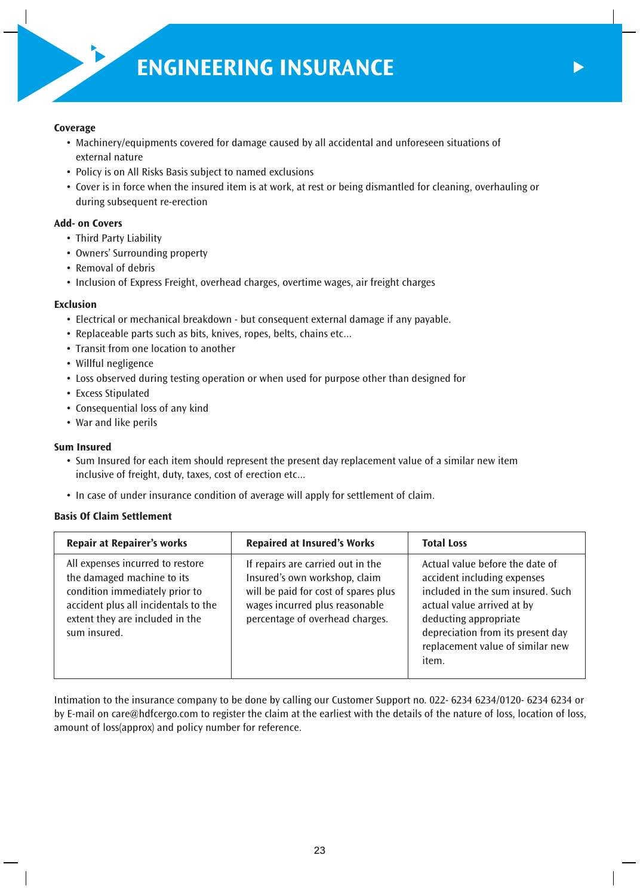### **ENGINEERING INSURANCE**

#### **Coverage**

- Machinery/equipments covered for damage caused by all accidental and unforeseen situations of external nature
- Policy is on All Risks Basis subject to named exclusions
- Cover is in force when the insured item is at work, at rest or being dismantled for cleaning, overhauling or during subsequent re-erection

#### **Add- on Covers**

- Third Party Liability
- Owners' Surrounding property
- Removal of debris
- Inclusion of Express Freight, overhead charges, overtime wages, air freight charges

#### **Exclusion**

- Electrical or mechanical breakdown but consequent external damage if any payable.
- Replaceable parts such as bits, knives, ropes, belts, chains etc...
- Transit from one location to another
- Willful negligence
- Loss observed during testing operation or when used for purpose other than designed for
- Excess Stipulated
- Consequential loss of any kind
- War and like perils

#### **Sum Insured**

- Sum Insured for each item should represent the present day replacement value of a similar new item inclusive of freight, duty, taxes, cost of erection etc...
- In case of under insurance condition of average will apply for settlement of claim.

#### **Basis Of Claim Settlement**

| <b>Repair at Repairer's works</b>                                                                                                                                                           | <b>Repaired at Insured's Works</b>                                                                                                                                              | <b>Total Loss</b>                                                                                                                                                                                                                            |
|---------------------------------------------------------------------------------------------------------------------------------------------------------------------------------------------|---------------------------------------------------------------------------------------------------------------------------------------------------------------------------------|----------------------------------------------------------------------------------------------------------------------------------------------------------------------------------------------------------------------------------------------|
| All expenses incurred to restore<br>the damaged machine to its<br>condition immediately prior to<br>accident plus all incidentals to the<br>extent they are included in the<br>sum insured. | If repairs are carried out in the<br>Insured's own workshop, claim<br>will be paid for cost of spares plus<br>wages incurred plus reasonable<br>percentage of overhead charges. | Actual value before the date of<br>accident including expenses<br>included in the sum insured. Such<br>actual value arrived at by<br>deducting appropriate<br>depreciation from its present day<br>replacement value of similar new<br>item. |

Intimation to the insurance company to be done by calling our Customer Support no. 022- 6234 6234/0120- 6234 6234 or by E-mail on care@hdfcergo.com to register the claim at the earliest with the details of the nature of loss, location of loss, amount of loss(approx) and policy number for reference.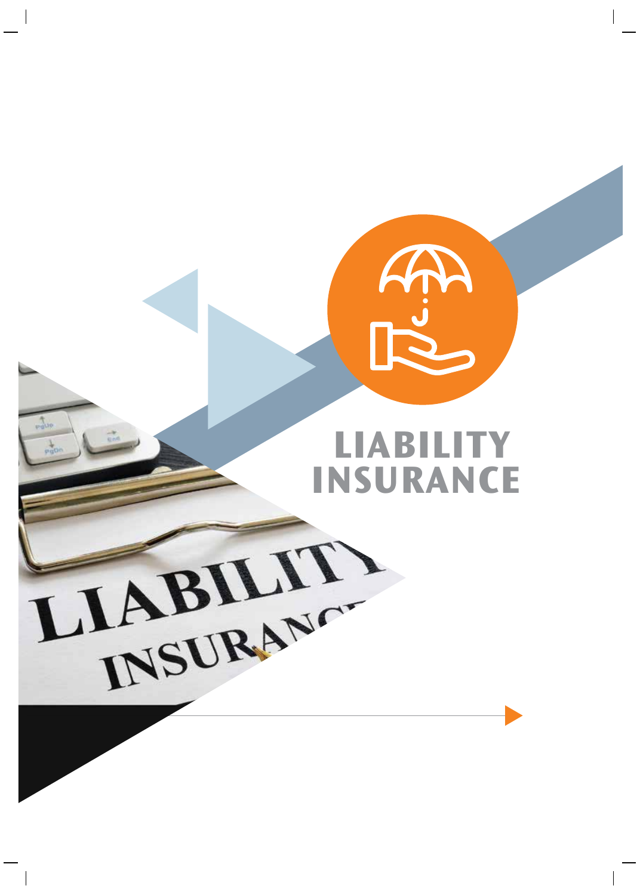# **LIABILITY INSURANCE**

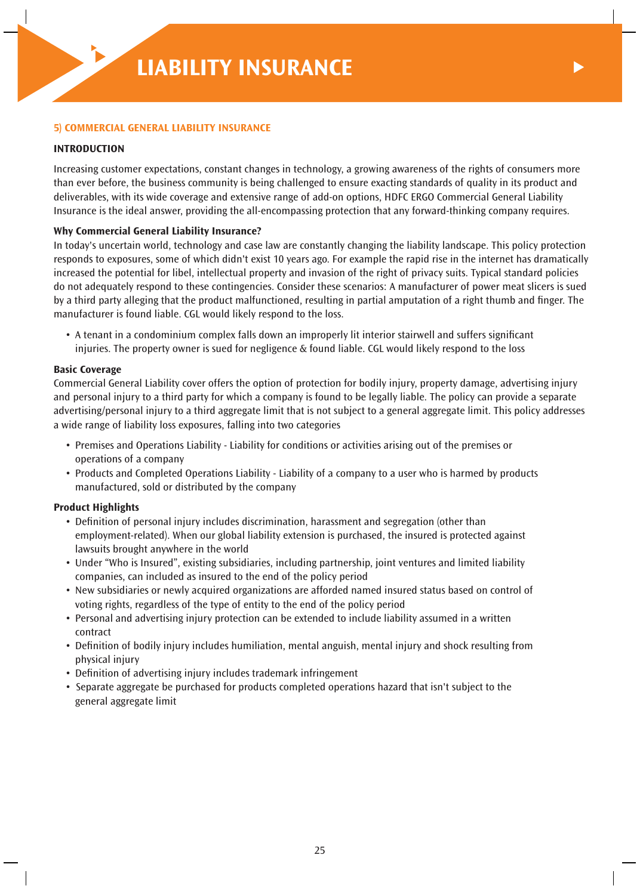#### **INTRODUCTION**

Increasing customer expectations, constant changes in technology, a growing awareness of the rights of consumers more than ever before, the business community is being challenged to ensure exacting standards of quality in its product and deliverables, with its wide coverage and extensive range of add-on options, HDFC ERGO Commercial General Liability Insurance is the ideal answer, providing the all-encompassing protection that any forward-thinking company requires.

#### **Why Commercial General Liability Insurance?**

In today's uncertain world, technology and case law are constantly changing the liability landscape. This policy protection responds to exposures, some of which didn't exist 10 years ago. For example the rapid rise in the internet has dramatically increased the potential for libel, intellectual property and invasion of the right of privacy suits. Typical standard policies do not adequately respond to these contingencies. Consider these scenarios: A manufacturer of power meat slicers is sued by a third party alleging that the product malfunctioned, resulting in partial amputation of a right thumb and finger. The manufacturer is found liable. CGL would likely respond to the loss.

 • A tenant in a condominium complex falls down an improperly lit interior stairwell and suffers significant injuries. The property owner is sued for negligence & found liable. CGL would likely respond to the loss

#### **Basic Coverage**

Commercial General Liability cover offers the option of protection for bodily injury, property damage, advertising injury and personal injury to a third party for which a company is found to be legally liable. The policy can provide a separate advertising/personal injury to a third aggregate limit that is not subject to a general aggregate limit. This policy addresses a wide range of liability loss exposures, falling into two categories

- Premises and Operations Liability Liability for conditions or activities arising out of the premises or operations of a company
- Products and Completed Operations Liability Liability of a company to a user who is harmed by products manufactured, sold or distributed by the company

#### **Product Highlights**

- Definition of personal injury includes discrimination, harassment and segregation (other than employment-related). When our global liability extension is purchased, the insured is protected against lawsuits brought anywhere in the world
- Under "Who is Insured", existing subsidiaries, including partnership, joint ventures and limited liability companies, can included as insured to the end of the policy period
- New subsidiaries or newly acquired organizations are afforded named insured status based on control of voting rights, regardless of the type of entity to the end of the policy period
- Personal and advertising injury protection can be extended to include liability assumed in a written contract
- Definition of bodily injury includes humiliation, mental anguish, mental injury and shock resulting from physical injury
- Definition of advertising injury includes trademark infringement
- Separate aggregate be purchased for products completed operations hazard that isn't subject to the general aggregate limit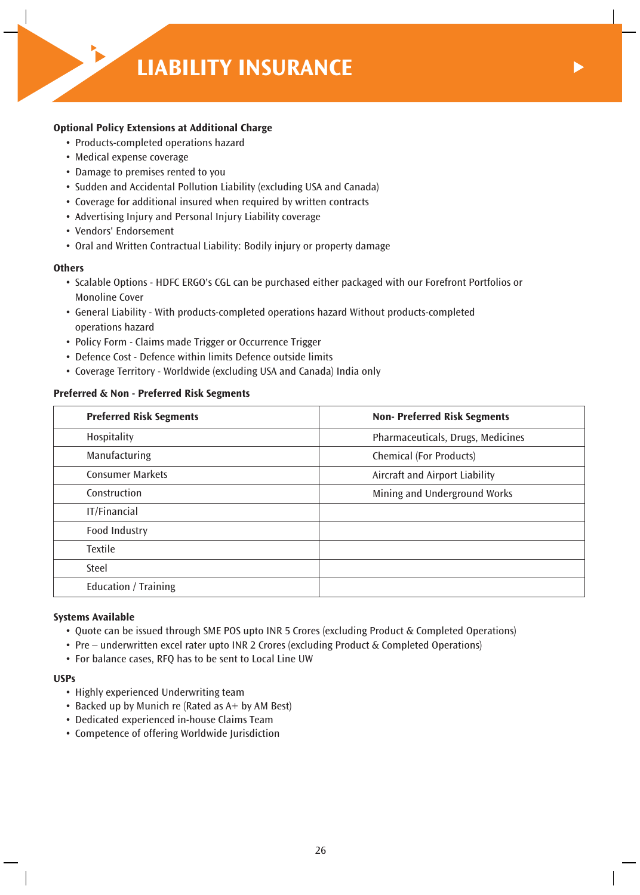#### **Optional Policy Extensions at Additional Charge**

- Products-completed operations hazard
- Medical expense coverage
- Damage to premises rented to you
- Sudden and Accidental Pollution Liability (excluding USA and Canada)
- Coverage for additional insured when required by written contracts
- Advertising Injury and Personal Injury Liability coverage
- Vendors' Endorsement
- Oral and Written Contractual Liability: Bodily injury or property damage

#### **Others**

- Scalable Options HDFC ERGO's CGL can be purchased either packaged with our Forefront Portfolios or Monoline Cover
- General Liability With products-completed operations hazard Without products-completed operations hazard
- Policy Form Claims made Trigger or Occurrence Trigger
- Defence Cost Defence within limits Defence outside limits
- Coverage Territory Worldwide (excluding USA and Canada) India only

#### **Preferred & Non - Preferred Risk Segments**

| <b>Preferred Risk Segments</b> | <b>Non- Preferred Risk Segments</b> |
|--------------------------------|-------------------------------------|
| <b>Hospitality</b>             | Pharmaceuticals, Drugs, Medicines   |
| Manufacturing                  | <b>Chemical (For Products)</b>      |
| <b>Consumer Markets</b>        | Aircraft and Airport Liability      |
| Construction                   | Mining and Underground Works        |
| IT/Financial                   |                                     |
| Food Industry                  |                                     |
| <b>Textile</b>                 |                                     |
| Steel                          |                                     |
| <b>Education / Training</b>    |                                     |

#### **Systems Available**

- Quote can be issued through SME POS upto INR 5 Crores (excluding Product & Completed Operations)
- Pre underwritten excel rater upto INR 2 Crores (excluding Product & Completed Operations)
- For balance cases, RFQ has to be sent to Local Line UW

#### **USPs**

- Highly experienced Underwriting team
- Backed up by Munich re (Rated as A+ by AM Best)
- Dedicated experienced in-house Claims Team
- Competence of offering Worldwide Jurisdiction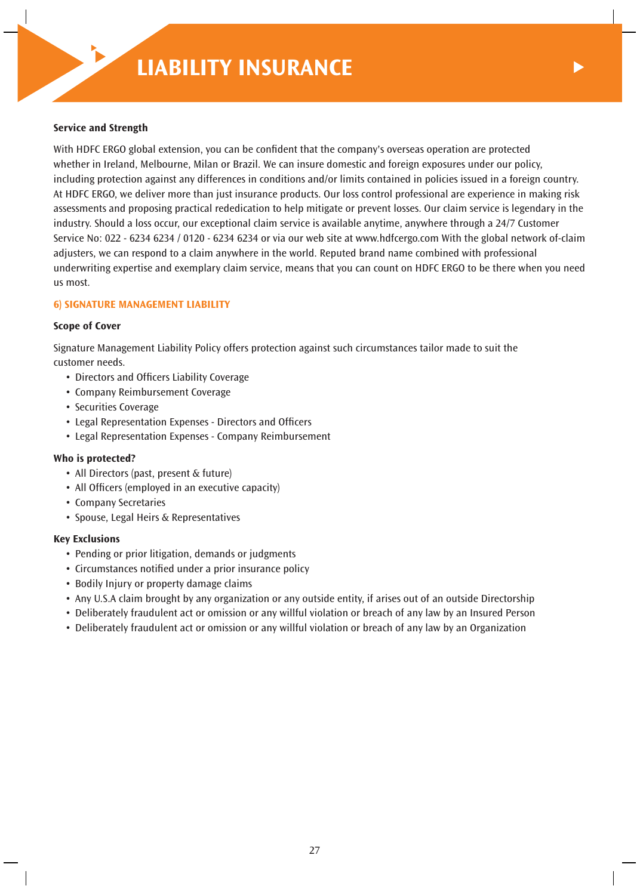#### **Service and Strength**

With HDFC ERGO global extension, you can be confident that the company's overseas operation are protected whether in Ireland, Melbourne, Milan or Brazil. We can insure domestic and foreign exposures under our policy, including protection against any differences in conditions and/or limits contained in policies issued in a foreign country. At HDFC ERGO, we deliver more than just insurance products. Our loss control professional are experience in making risk assessments and proposing practical rededication to help mitigate or prevent losses. Our claim service is legendary in the industry. Should a loss occur, our exceptional claim service is available anytime, anywhere through a 24/7 Customer Service No: 022 - 6234 6234 / 0120 - 6234 6234 or via our web site at www.hdfcergo.com With the global network of-claim adjusters, we can respond to a claim anywhere in the world. Reputed brand name combined with professional underwriting expertise and exemplary claim service, means that you can count on HDFC ERGO to be there when you need us most.

#### **6) SIGNATURE MANAGEMENT LIABILITY**

#### **Scope of Cover**

Signature Management Liability Policy offers protection against such circumstances tailor made to suit the customer needs.

- Directors and Officers Liability Coverage
- Company Reimbursement Coverage
- Securities Coverage
- Legal Representation Expenses Directors and Officers
- Legal Representation Expenses Company Reimbursement

#### **Who is protected?**

- All Directors (past, present & future)
- All Officers (employed in an executive capacity)
- Company Secretaries
- Spouse, Legal Heirs & Representatives

#### **Key Exclusions**

- Pending or prior litigation, demands or judgments
- Circumstances notified under a prior insurance policy
- Bodily Injury or property damage claims
- Any U.S.A claim brought by any organization or any outside entity, if arises out of an outside Directorship
- Deliberately fraudulent act or omission or any willful violation or breach of any law by an Insured Person
- Deliberately fraudulent act or omission or any willful violation or breach of any law by an Organization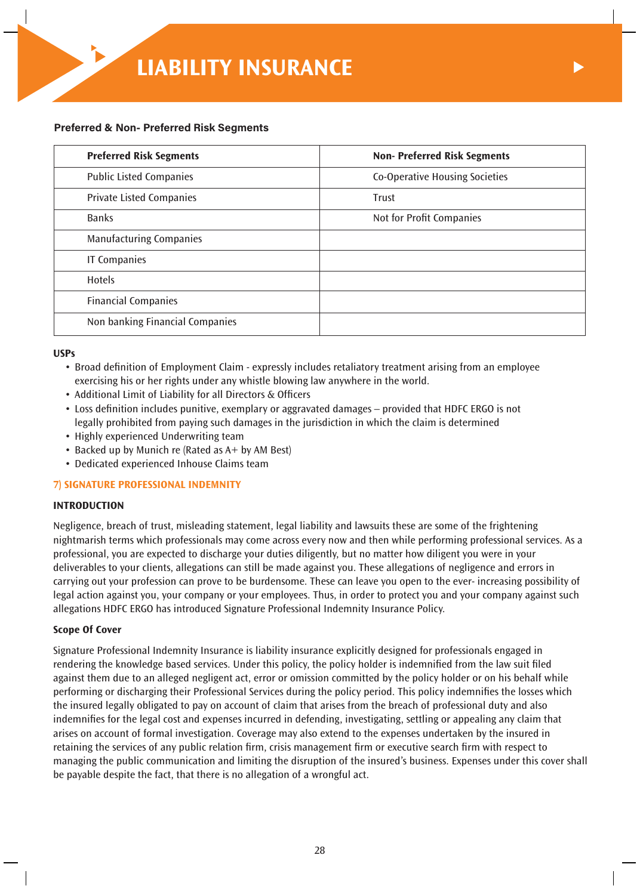#### **Preferred & Non- Preferred Risk Segments**

| <b>Preferred Risk Segments</b>  | <b>Non- Preferred Risk Segments</b> |
|---------------------------------|-------------------------------------|
| <b>Public Listed Companies</b>  | Co-Operative Housing Societies      |
| <b>Private Listed Companies</b> | Trust                               |
| <b>Banks</b>                    | Not for Profit Companies            |
| <b>Manufacturing Companies</b>  |                                     |
| <b>IT Companies</b>             |                                     |
| <b>Hotels</b>                   |                                     |
| <b>Financial Companies</b>      |                                     |
| Non banking Financial Companies |                                     |

#### **USPs**

- Broad definition of Employment Claim expressly includes retaliatory treatment arising from an employee exercising his or her rights under any whistle blowing law anywhere in the world.
- Additional Limit of Liability for all Directors & Officers
- Loss definition includes punitive, exemplary or aggravated damages provided that HDFC ERGO is not legally prohibited from paying such damages in the jurisdiction in which the claim is determined
- Highly experienced Underwriting team
- Backed up by Munich re (Rated as A+ by AM Best)
- Dedicated experienced Inhouse Claims team

#### **7) SIGNATURE PROFESSIONAL INDEMNITY**

#### **INTRODUCTION**

Negligence, breach of trust, misleading statement, legal liability and lawsuits these are some of the frightening nightmarish terms which professionals may come across every now and then while performing professional services. As a professional, you are expected to discharge your duties diligently, but no matter how diligent you were in your deliverables to your clients, allegations can still be made against you. These allegations of negligence and errors in carrying out your profession can prove to be burdensome. These can leave you open to the ever- increasing possibility of legal action against you, your company or your employees. Thus, in order to protect you and your company against such allegations HDFC ERGO has introduced Signature Professional Indemnity Insurance Policy.

#### **Scope Of Cover**

Signature Professional Indemnity Insurance is liability insurance explicitly designed for professionals engaged in rendering the knowledge based services. Under this policy, the policy holder is indemnified from the law suit filed against them due to an alleged negligent act, error or omission committed by the policy holder or on his behalf while performing or discharging their Professional Services during the policy period. This policy indemnifies the losses which the insured legally obligated to pay on account of claim that arises from the breach of professional duty and also indemnifies for the legal cost and expenses incurred in defending, investigating, settling or appealing any claim that arises on account of formal investigation. Coverage may also extend to the expenses undertaken by the insured in retaining the services of any public relation firm, crisis management firm or executive search firm with respect to managing the public communication and limiting the disruption of the insured's business. Expenses under this cover shall be payable despite the fact, that there is no allegation of a wrongful act.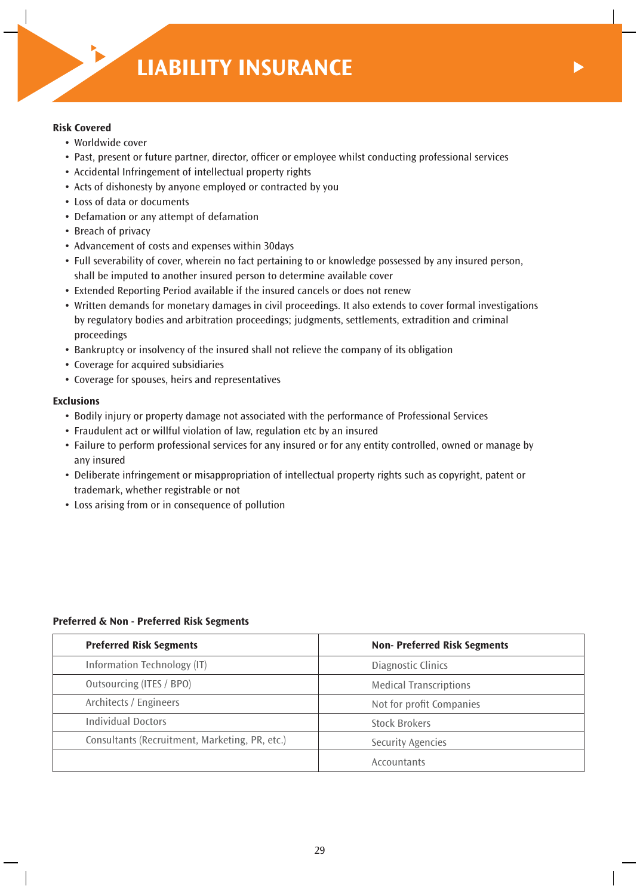### **LIABILITY INSURANCE**

#### **Risk Covered**

- Worldwide cover
- Past, present or future partner, director, officer or employee whilst conducting professional services
- Accidental Infringement of intellectual property rights
- Acts of dishonesty by anyone employed or contracted by you
- Loss of data or documents
- Defamation or any attempt of defamation
- Breach of privacy
- Advancement of costs and expenses within 30days
- Full severability of cover, wherein no fact pertaining to or knowledge possessed by any insured person, shall be imputed to another insured person to determine available cover
- Extended Reporting Period available if the insured cancels or does not renew
- Written demands for monetary damages in civil proceedings. It also extends to cover formal investigations by regulatory bodies and arbitration proceedings; judgments, settlements, extradition and criminal proceedings
- Bankruptcy or insolvency of the insured shall not relieve the company of its obligation
- Coverage for acquired subsidiaries
- Coverage for spouses, heirs and representatives

#### **Exclusions**

- Bodily injury or property damage not associated with the performance of Professional Services
- Fraudulent act or willful violation of law, regulation etc by an insured
- Failure to perform professional services for any insured or for any entity controlled, owned or manage by any insured
- Deliberate infringement or misappropriation of intellectual property rights such as copyright, patent or trademark, whether registrable or not
- Loss arising from or in consequence of pollution

| <b>Preferred Risk Segments</b>                 | <b>Non- Preferred Risk Segments</b> |
|------------------------------------------------|-------------------------------------|
| Information Technology (IT)                    | <b>Diagnostic Clinics</b>           |
| Outsourcing (ITES / BPO)                       | <b>Medical Transcriptions</b>       |
| Architects / Engineers                         | Not for profit Companies            |
| <b>Individual Doctors</b>                      | <b>Stock Brokers</b>                |
| Consultants (Recruitment, Marketing, PR, etc.) | <b>Security Agencies</b>            |
|                                                | Accountants                         |

#### **Preferred & Non - Preferred Risk Segments**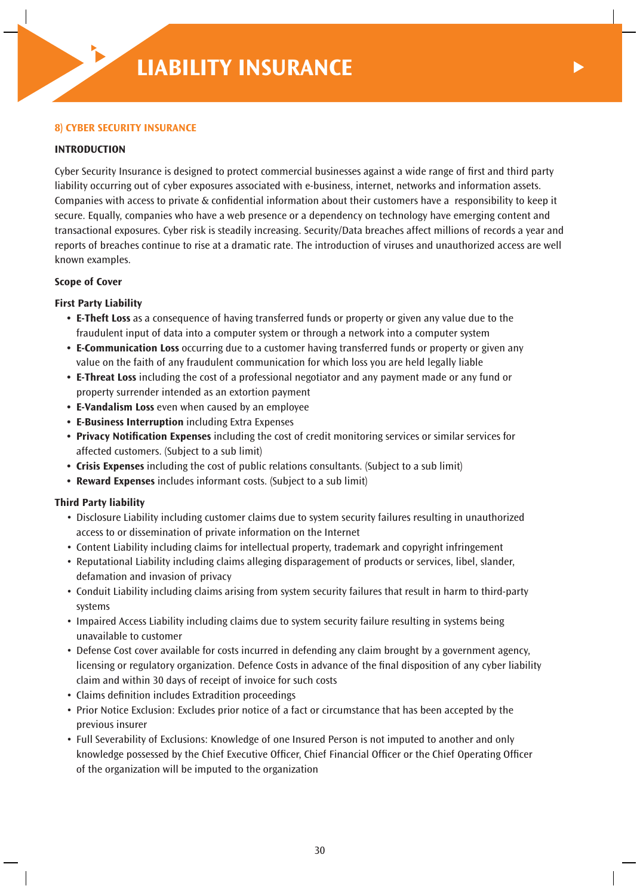#### **8) CYBER SECURITY INSURANCE**

#### **INTRODUCTION**

Cyber Security Insurance is designed to protect commercial businesses against a wide range of first and third party liability occurring out of cyber exposures associated with e-business, internet, networks and information assets. Companies with access to private & confidential information about their customers have a responsibility to keep it secure. Equally, companies who have a web presence or a dependency on technology have emerging content and transactional exposures. Cyber risk is steadily increasing. Security/Data breaches affect millions of records a year and reports of breaches continue to rise at a dramatic rate. The introduction of viruses and unauthorized access are well known examples.

#### **Scope of Cover**

#### **First Party Liability**

- **E-Theft Loss** as a consequence of having transferred funds or property or given any value due to the fraudulent input of data into a computer system or through a network into a computer system
- **E-Communication Loss** occurring due to a customer having transferred funds or property or given any value on the faith of any fraudulent communication for which loss you are held legally liable
- **E-Threat Loss** including the cost of a professional negotiator and any payment made or any fund or property surrender intended as an extortion payment
- **E-Vandalism Loss** even when caused by an employee
- **E-Business Interruption** including Extra Expenses
- **Privacy Notification Expenses** including the cost of credit monitoring services or similar services for affected customers. (Subject to a sub limit)
- **Crisis Expenses** including the cost of public relations consultants. (Subject to a sub limit)
- **Reward Expenses** includes informant costs. (Subject to a sub limit)

#### **Third Party liability**

- Disclosure Liability including customer claims due to system security failures resulting in unauthorized access to or dissemination of private information on the Internet
- Content Liability including claims for intellectual property, trademark and copyright infringement
- Reputational Liability including claims alleging disparagement of products or services, libel, slander, defamation and invasion of privacy
- Conduit Liability including claims arising from system security failures that result in harm to third-party systems
- Impaired Access Liability including claims due to system security failure resulting in systems being unavailable to customer
- Defense Cost cover available for costs incurred in defending any claim brought by a government agency, licensing or regulatory organization. Defence Costs in advance of the final disposition of any cyber liability claim and within 30 days of receipt of invoice for such costs
- Claims definition includes Extradition proceedings
- Prior Notice Exclusion: Excludes prior notice of a fact or circumstance that has been accepted by the previous insurer
- Full Severability of Exclusions: Knowledge of one Insured Person is not imputed to another and only knowledge possessed by the Chief Executive Officer, Chief Financial Officer or the Chief Operating Officer of the organization will be imputed to the organization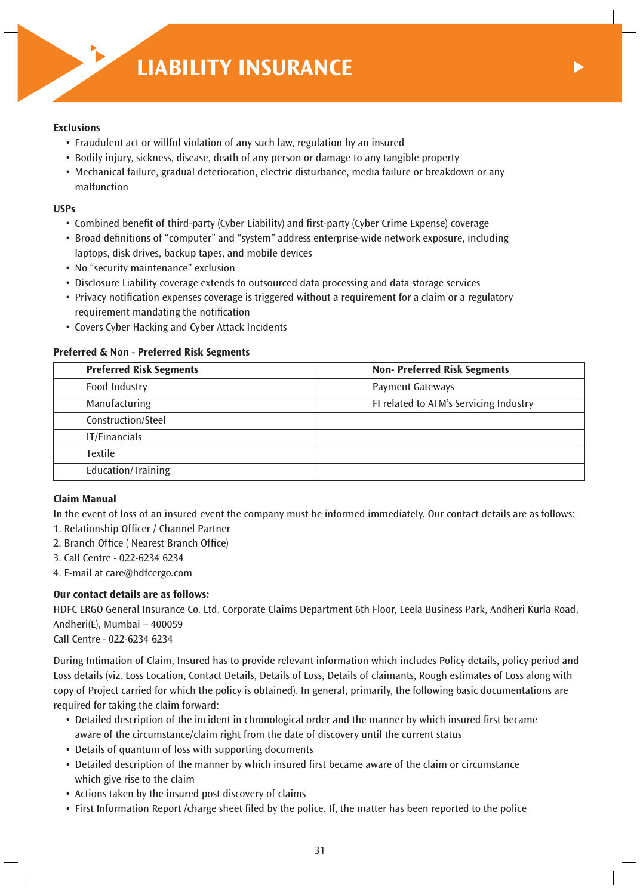#### **Exclusions**

- Fraudulent act or willful violation of any such law, regulation by an insured
- Bodily injury, sickness, disease, death of any person or damage to any tangible property
- Mechanical failure, gradual deterioration, electric disturbance, media failure or breakdown or any malfunction

#### **USPs**

- Combined benefit of third-party (Cyber Liability) and first-party (Cyber Crime Expense) coverage
- Broad definitions of "computer" and "system" address enterprise-wide network exposure, including laptops, disk drives, backup tapes, and mobile devices
- No "security maintenance" exclusion
- Disclosure Liability coverage extends to outsourced data processing and data storage services
- Privacy notification expenses coverage is triggered without a requirement for a claim or a regulatory requirement mandating the notification
- Covers Cyber Hacking and Cyber Attack Incidents

#### **Preferred & Non - Preferred Risk Segments**

| <b>Preferred Risk Segments</b> | <b>Non- Preferred Risk Segments</b>    |
|--------------------------------|----------------------------------------|
| Food Industry                  | <b>Payment Gateways</b>                |
| Manufacturing                  | FI related to ATM's Servicing Industry |
| Construction/Steel             |                                        |
| IT/Financials                  |                                        |
| <b>Textile</b>                 |                                        |
| Education/Training             |                                        |

#### **Claim Manual**

In the event of loss of an insured event the company must be informed immediately. Our contact details are as follows:

- 1. Relationship Officer / Channel Partner
- 2. Branch Office ( Nearest Branch Office)
- 3. Call Centre 022-6234 6234
- 4. E-mail at care@hdfcergo.com

#### **Our contact details are as follows:**

HDFC ERGO General Insurance Co. Ltd. Corporate Claims Department 6th Floor, Leela Business Park, Andheri Kurla Road, Andheri(E), Mumbai – 400059

Call Centre - 022-6234 6234

During Intimation of Claim, Insured has to provide relevant information which includes Policy details, policy period and Loss details (viz. Loss Location, Contact Details, Details of Loss, Details of claimants, Rough estimates of Loss along with copy of Project carried for which the policy is obtained). In general, primarily, the following basic documentations are required for taking the claim forward:

- Detailed description of the incident in chronological order and the manner by which insured first became aware of the circumstance/claim right from the date of discovery until the current status
- Details of quantum of loss with supporting documents
- Detailed description of the manner by which insured first became aware of the claim or circumstance which give rise to the claim
- Actions taken by the insured post discovery of claims
- First Information Report /charge sheet filed by the police. If, the matter has been reported to the police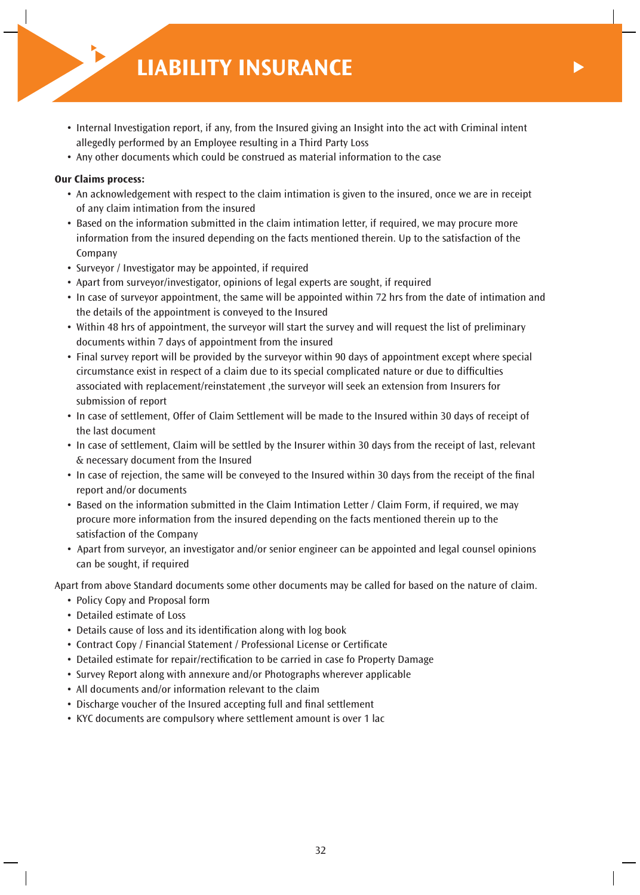### **LIABILITY INSURANCE**

- Internal Investigation report, if any, from the Insured giving an Insight into the act with Criminal intent allegedly performed by an Employee resulting in a Third Party Loss
- Any other documents which could be construed as material information to the case

#### **Our Claims process:**

- An acknowledgement with respect to the claim intimation is given to the insured, once we are in receipt of any claim intimation from the insured
- Based on the information submitted in the claim intimation letter, if required, we may procure more information from the insured depending on the facts mentioned therein. Up to the satisfaction of the Company
- Surveyor / Investigator may be appointed, if required
- Apart from surveyor/investigator, opinions of legal experts are sought, if required
- In case of surveyor appointment, the same will be appointed within 72 hrs from the date of intimation and the details of the appointment is conveyed to the Insured
- Within 48 hrs of appointment, the surveyor will start the survey and will request the list of preliminary documents within 7 days of appointment from the insured
- Final survey report will be provided by the surveyor within 90 days of appointment except where special circumstance exist in respect of a claim due to its special complicated nature or due to difficulties associated with replacement/reinstatement ,the surveyor will seek an extension from Insurers for submission of report
- In case of settlement, Offer of Claim Settlement will be made to the Insured within 30 days of receipt of the last document
- In case of settlement, Claim will be settled by the Insurer within 30 days from the receipt of last, relevant & necessary document from the Insured
- In case of rejection, the same will be conveyed to the Insured within 30 days from the receipt of the final report and/or documents
- Based on the information submitted in the Claim Intimation Letter / Claim Form, if required, we may procure more information from the insured depending on the facts mentioned therein up to the satisfaction of the Company
- Apart from surveyor, an investigator and/or senior engineer can be appointed and legal counsel opinions can be sought, if required

Apart from above Standard documents some other documents may be called for based on the nature of claim.

- Policy Copy and Proposal form
- Detailed estimate of Loss
- Details cause of loss and its identification along with log book
- Contract Copy / Financial Statement / Professional License or Certificate
- Detailed estimate for repair/rectification to be carried in case fo Property Damage
- Survey Report along with annexure and/or Photographs wherever applicable
- All documents and/or information relevant to the claim
- Discharge voucher of the Insured accepting full and final settlement
- KYC documents are compulsory where settlement amount is over 1 lac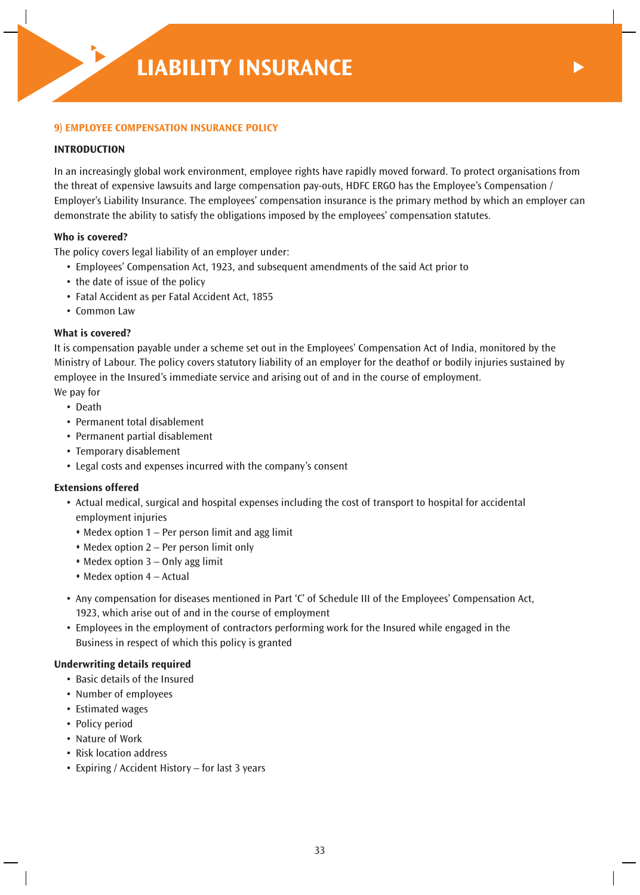### **LIABILITY INSURANCE**

#### **9) EMPLOYEE COMPENSATION INSURANCE POLICY**

#### **INTRODUCTION**

In an increasingly global work environment, employee rights have rapidly moved forward. To protect organisations from the threat of expensive lawsuits and large compensation pay-outs, HDFC ERGO has the Employee's Compensation / Employer's Liability Insurance. The employees' compensation insurance is the primary method by which an employer can demonstrate the ability to satisfy the obligations imposed by the employees' compensation statutes.

#### **Who is covered?**

The policy covers legal liability of an employer under:

- Employees' Compensation Act, 1923, and subsequent amendments of the said Act prior to
- the date of issue of the policy
- Fatal Accident as per Fatal Accident Act, 1855
- Common Law

#### **What is covered?**

It is compensation payable under a scheme set out in the Employees' Compensation Act of India, monitored by the Ministry of Labour. The policy covers statutory liability of an employer for the deathof or bodily injuries sustained by employee in the Insured's immediate service and arising out of and in the course of employment. We pay for

- Death
- Permanent total disablement
- Permanent partial disablement
- Temporary disablement
- Legal costs and expenses incurred with the company's consent

#### **Extensions offered**

- Actual medical, surgical and hospital expenses including the cost of transport to hospital for accidental employment injuries
	- Medex option 1 Per person limit and agg limit
	- Medex option 2 Per person limit only
	- $\bullet$  Medex option 3 Only agg limit
	- $\bullet$  Medex option 4 Actual
- Any compensation for diseases mentioned in Part 'C' of Schedule III of the Employees' Compensation Act, 1923, which arise out of and in the course of employment
- Employees in the employment of contractors performing work for the Insured while engaged in the Business in respect of which this policy is granted

#### **Underwriting details required**

- Basic details of the Insured
- Number of employees
- Estimated wages
- Policy period
- Nature of Work
- Risk location address
- Expiring / Accident History for last 3 years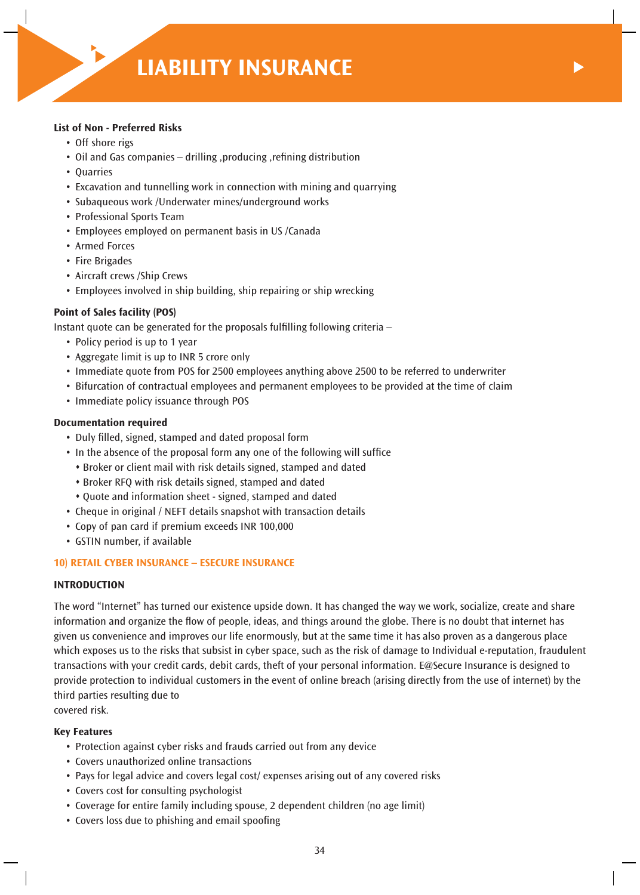#### **List of Non - Preferred Risks**

- Off shore rigs
- Oil and Gas companies drilling ,producing ,refining distribution
- Quarries
- Excavation and tunnelling work in connection with mining and quarrying
- Subaqueous work /Underwater mines/underground works
- Professional Sports Team
- Employees employed on permanent basis in US /Canada
- Armed Forces
- Fire Brigades
- Aircraft crews /Ship Crews
- Employees involved in ship building, ship repairing or ship wrecking

#### **Point of Sales facility (POS)**

Instant quote can be generated for the proposals fulfilling following criteria –

- Policy period is up to 1 year
- Aggregate limit is up to INR 5 crore only
- Immediate quote from POS for 2500 employees anything above 2500 to be referred to underwriter
- Bifurcation of contractual employees and permanent employees to be provided at the time of claim
- Immediate policy issuance through POS

#### **Documentation required**

- Duly filled, signed, stamped and dated proposal form
- In the absence of the proposal form any one of the following will suffice
	- Broker or client mail with risk details signed, stamped and dated
	- Broker RFQ with risk details signed, stamped and dated
	- Quote and information sheet signed, stamped and dated
- Cheque in original / NEFT details snapshot with transaction details
- Copy of pan card if premium exceeds INR 100,000
- GSTIN number, if available

#### **10) RETAIL CYBER INSURANCE – ESECURE INSURANCE**

#### **INTRODUCTION**

The word "Internet" has turned our existence upside down. It has changed the way we work, socialize, create and share information and organize the flow of people, ideas, and things around the globe. There is no doubt that internet has given us convenience and improves our life enormously, but at the same time it has also proven as a dangerous place which exposes us to the risks that subsist in cyber space, such as the risk of damage to Individual e-reputation, fraudulent transactions with your credit cards, debit cards, theft of your personal information. E@Secure Insurance is designed to provide protection to individual customers in the event of online breach (arising directly from the use of internet) by the third parties resulting due to

covered risk.

#### **Key Features**

- Protection against cyber risks and frauds carried out from any device
- Covers unauthorized online transactions
- Pays for legal advice and covers legal cost/ expenses arising out of any covered risks
- Covers cost for consulting psychologist
- Coverage for entire family including spouse, 2 dependent children (no age limit)
- Covers loss due to phishing and email spoofing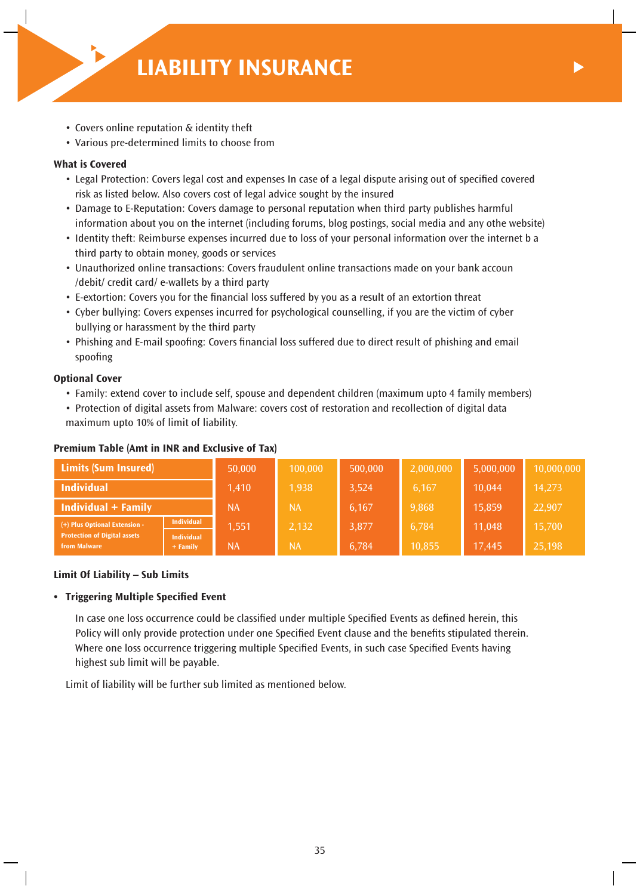### **LIABILITY INSURANCE**

- Covers online reputation & identity theft
- Various pre-determined limits to choose from

#### **What is Covered**

- Legal Protection: Covers legal cost and expenses In case of a legal dispute arising out of specified covered risk as listed below. Also covers cost of legal advice sought by the insured
- Damage to E-Reputation: Covers damage to personal reputation when third party publishes harmful information about you on the internet (including forums, blog postings, social media and any othe website)
- Identity theft: Reimburse expenses incurred due to loss of your personal information over the internet b a third party to obtain money, goods or services
- Unauthorized online transactions: Covers fraudulent online transactions made on your bank accoun /debit/ credit card/ e-wallets by a third party
- E-extortion: Covers you for the financial loss suffered by you as a result of an extortion threat
- Cyber bullying: Covers expenses incurred for psychological counselling, if you are the victim of cyber bullying or harassment by the third party
- Phishing and E-mail spoofing: Covers financial loss suffered due to direct result of phishing and email spoofing

#### **Optional Cover**

- Family: extend cover to include self, spouse and dependent children (maximum upto 4 family members)
- Protection of digital assets from Malware: covers cost of restoration and recollection of digital data maximum upto 10% of limit of liability.

|  | Premium Table (Amt in INR and Exclusive of Tax) |  |  |
|--|-------------------------------------------------|--|--|
|  |                                                 |  |  |

| <b>Limits (Sum Insured)</b>                                          |                                 | 50,000    | 100,000   | 500,000 | 2,000,000 | 5,000,000 | 10,000,000 |
|----------------------------------------------------------------------|---------------------------------|-----------|-----------|---------|-----------|-----------|------------|
| <b>Individual</b>                                                    |                                 | 1,410     | 1,938     | 3,524   | 6,167     | 10,044    | 14,273     |
| <b>Individual + Family</b>                                           |                                 | <b>NA</b> | <b>NA</b> | 6,167   | 9,868     | 15,859    | 22,907     |
| (+) Plus Optional Extension -<br><b>Protection of Digital assets</b> | <b>Individual</b>               | 1,551     | 2,132     | 3,877   | 6,784     | 11,048    | 15,700     |
| from Malware                                                         | <b>Individual</b><br>$+$ Family | <b>NA</b> | <b>NA</b> | 6,784   | 10,855    | 17,445    | 25,198     |

#### **Limit Of Liability – Sub Limits**

#### **• Triggering Multiple Specified Event**

 In case one loss occurrence could be classified under multiple Specified Events as defined herein, this Policy will only provide protection under one Specified Event clause and the benefits stipulated therein. Where one loss occurrence triggering multiple Specified Events, in such case Specified Events having highest sub limit will be payable.

Limit of liability will be further sub limited as mentioned below.

35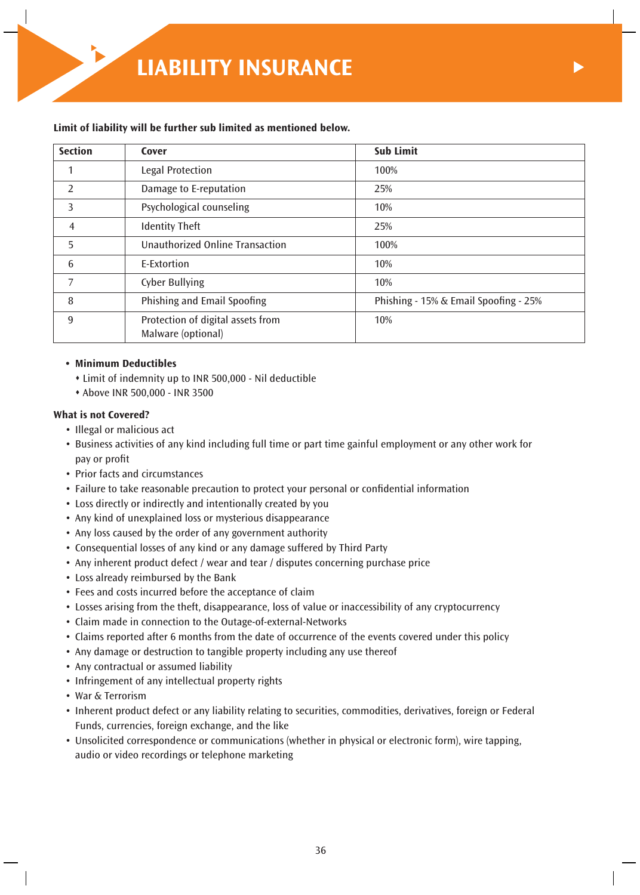#### **Limit of liability will be further sub limited as mentioned below.**

| <b>Section</b> | Cover                                                   | <b>Sub Limit</b>                      |
|----------------|---------------------------------------------------------|---------------------------------------|
|                | <b>Legal Protection</b>                                 | 100%                                  |
| 2              | Damage to E-reputation                                  | 25%                                   |
| 3              | Psychological counseling                                | 10%                                   |
| 4              | <b>Identity Theft</b>                                   | 25%                                   |
| 5              | Unauthorized Online Transaction                         | 100%                                  |
| 6              | E-Extortion                                             | 10%                                   |
| 7              | <b>Cyber Bullying</b>                                   | 10%                                   |
| 8              | Phishing and Email Spoofing                             | Phishing - 15% & Email Spoofing - 25% |
| 9              | Protection of digital assets from<br>Malware (optional) | 10%                                   |

#### **• Minimum Deductibles**

- Limit of indemnity up to INR 500,000 Nil deductible
- Above INR 500,000 INR 3500

#### **What is not Covered?**

- Illegal or malicious act
- Business activities of any kind including full time or part time gainful employment or any other work for pay or profit
- Prior facts and circumstances
- Failure to take reasonable precaution to protect your personal or confidential information
- Loss directly or indirectly and intentionally created by you
- Any kind of unexplained loss or mysterious disappearance
- Any loss caused by the order of any government authority
- Consequential losses of any kind or any damage suffered by Third Party
- Any inherent product defect / wear and tear / disputes concerning purchase price
- Loss already reimbursed by the Bank
- Fees and costs incurred before the acceptance of claim
- Losses arising from the theft, disappearance, loss of value or inaccessibility of any cryptocurrency
- Claim made in connection to the Outage-of-external-Networks
- Claims reported after 6 months from the date of occurrence of the events covered under this policy
- Any damage or destruction to tangible property including any use thereof
- Any contractual or assumed liability
- Infringement of any intellectual property rights
- War & Terrorism
- Inherent product defect or any liability relating to securities, commodities, derivatives, foreign or Federal Funds, currencies, foreign exchange, and the like
- Unsolicited correspondence or communications (whether in physical or electronic form), wire tapping, audio or video recordings or telephone marketing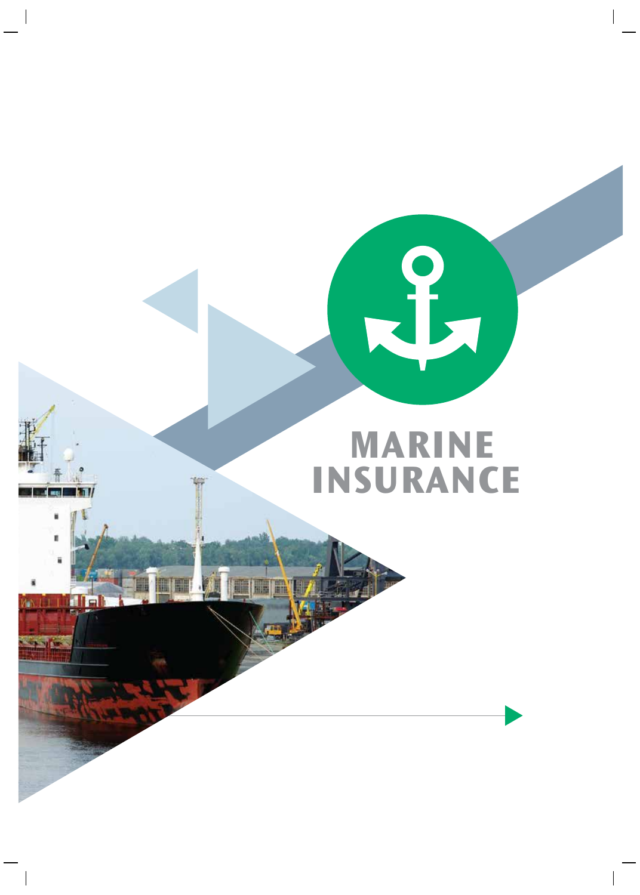**AT AT THE TIME** 

**FEL** 

d fel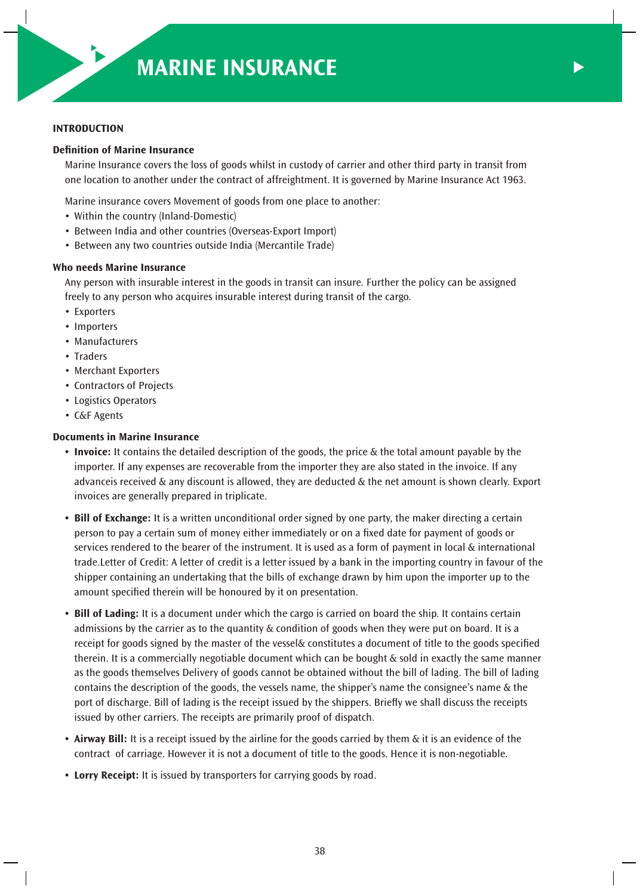#### **INTRODUCTION**

#### **Definition of Marine Insurance**

 Marine Insurance covers the loss of goods whilst in custody of carrier and other third party in transit from one location to another under the contract of affreightment. It is governed by Marine Insurance Act 1963.

Marine insurance covers Movement of goods from one place to another:

- Within the country (Inland-Domestic)
- Between India and other countries (Overseas-Export Import)
- Between any two countries outside India (Mercantile Trade)

#### **Who needs Marine Insurance**

 Any person with insurable interest in the goods in transit can insure. Further the policy can be assigned freely to any person who acquires insurable interest during transit of the cargo.

- Exporters
- Importers
- Manufacturers
- Traders
- Merchant Exporters
- Contractors of Projects
- Logistics Operators
- C&F Agents

#### **Documents in Marine Insurance**

- **Invoice:** It contains the detailed description of the goods, the price & the total amount payable by the importer. If any expenses are recoverable from the importer they are also stated in the invoice. If any advanceis received & any discount is allowed, they are deducted & the net amount is shown clearly. Export invoices are generally prepared in triplicate.
- **Bill of Exchange:** It is a written unconditional order signed by one party, the maker directing a certain person to pay a certain sum of money either immediately or on a fixed date for payment of goods or services rendered to the bearer of the instrument. It is used as a form of payment in local & international trade.Letter of Credit: A letter of credit is a letter issued by a bank in the importing country in favour of the shipper containing an undertaking that the bills of exchange drawn by him upon the importer up to the amount specified therein will be honoured by it on presentation.
- **Bill of Lading:** It is a document under which the cargo is carried on board the ship. It contains certain admissions by the carrier as to the quantity & condition of goods when they were put on board. It is a receipt for goods signed by the master of the vessel& constitutes a document of title to the goods specified therein. It is a commercially negotiable document which can be bought & sold in exactly the same manner as the goods themselves Delivery of goods cannot be obtained without the bill of lading. The bill of lading contains the description of the goods, the vessels name, the shipper's name the consignee's name & the port of discharge. Bill of lading is the receipt issued by the shippers. Briefly we shall discuss the receipts issued by other carriers. The receipts are primarily proof of dispatch.
- **Airway Bill:** It is a receipt issued by the airline for the goods carried by them & it is an evidence of the contract of carriage. However it is not a document of title to the goods. Hence it is non-negotiable.
- **Lorry Receipt:** It is issued by transporters for carrying goods by road.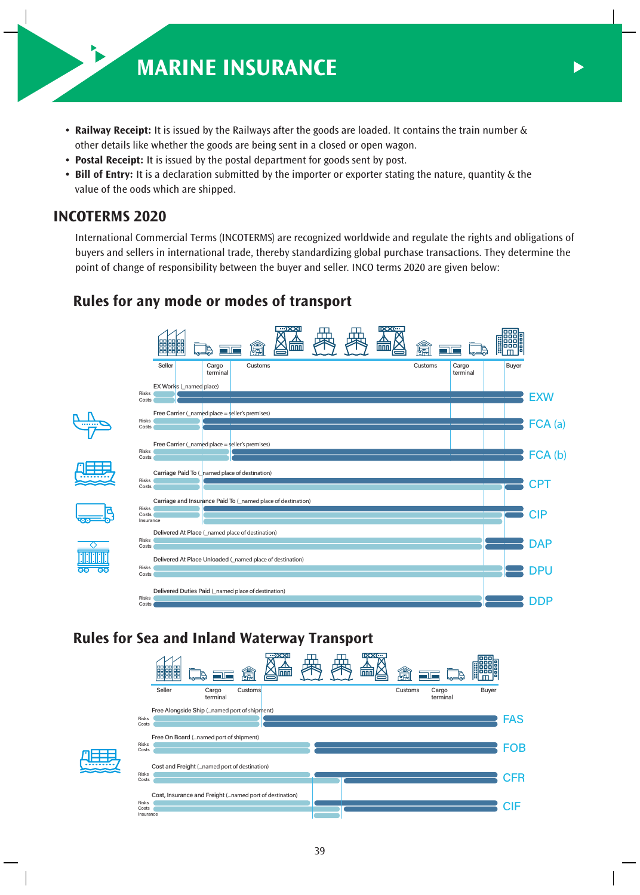- **Railway Receipt:** It is issued by the Railways after the goods are loaded. It contains the train number & other details like whether the goods are being sent in a closed or open wagon.
- **Postal Receipt:** It is issued by the postal department for goods sent by post.
- **Bill of Entry:** It is a declaration submitted by the importer or exporter stating the nature, quantity & the value of the oods which are shipped.

#### **INCOTERMS 2020**

International Commercial Terms (INCOTERMS) are recognized worldwide and regulate the rights and obligations of buyers and sellers in international trade, thereby standardizing global purchase transactions. They determine the point of change of responsibility between the buyer and seller. INCO terms 2020 are given below:



### **Rules for any mode or modes of transport**

### **Rules for Sea and Inland Waterway Transport**

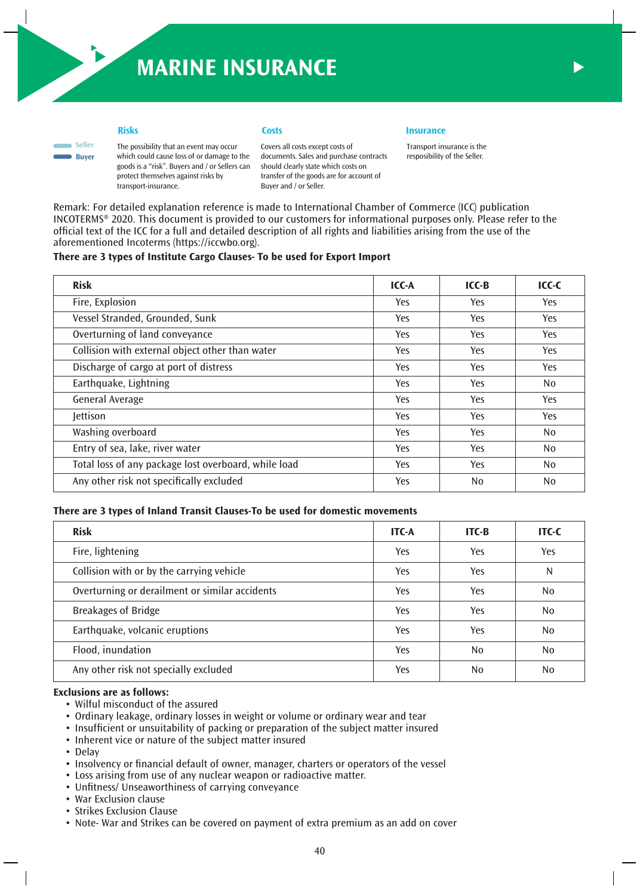**Risks Costs Insurance**

**Seller Buyer**

The possibility that an event may occur which could cause loss of or damage to the goods is a "risk". Buyers and / or Sellers can protect themselves against risks by transport-insurance.

Covers all costs except costs of documents. Sales and purchase contracts should clearly state which costs on transfer of the goods are for account of Buyer and / or Seller.

Transport insurance is the resposibility of the Seller.

Remark: For detailed explanation reference is made to International Chamber of Commerce (ICC) publication INCOTERMS® 2020. This document is provided to our customers for informational purposes only. Please refer to the official text of the ICC for a full and detailed description of all rights and liabilities arising from the use of the aforementioned Incoterms (https://iccwbo.org).

#### **There are 3 types of Institute Cargo Clauses- To be used for Export Import**

| <b>Risk</b>                                          | ICC-A      | $ICC-B$        | ICC-C          |
|------------------------------------------------------|------------|----------------|----------------|
| Fire, Explosion                                      | <b>Yes</b> | Yes.           | <b>Yes</b>     |
| Vessel Stranded, Grounded, Sunk                      | Yes        | <b>Yes</b>     | Yes            |
| Overturning of land conveyance                       | Yes        | Yes            | Yes            |
| Collision with external object other than water      | Yes        | <b>Yes</b>     | Yes            |
| Discharge of cargo at port of distress               | Yes        | Yes.           | Yes            |
| Earthquake, Lightning                                | Yes        | <b>Yes</b>     | No.            |
| <b>General Average</b>                               | Yes        | Yes            | Yes            |
| Jettison                                             | Yes        | <b>Yes</b>     | Yes            |
| Washing overboard                                    | Yes        | <b>Yes</b>     | No.            |
| Entry of sea, lake, river water                      | <b>Yes</b> | <b>Yes</b>     | N <sub>0</sub> |
| Total loss of any package lost overboard, while load | Yes        | Yes            | No.            |
| Any other risk not specifically excluded             | Yes        | N <sub>0</sub> | N <sub>0</sub> |

#### **There are 3 types of Inland Transit Clauses-To be used for domestic movements**

| <b>Risk</b>                                    | <b>ITC-A</b> | <b>ITC-B</b>   | <b>ITC-C</b> |
|------------------------------------------------|--------------|----------------|--------------|
| Fire, lightening                               | <b>Yes</b>   | Yes            | Yes          |
| Collision with or by the carrying vehicle      | Yes          | Yes            | N            |
| Overturning or derailment or similar accidents | Yes          | Yes            | No           |
| <b>Breakages of Bridge</b>                     | Yes          | <b>Yes</b>     | No.          |
| Earthquake, volcanic eruptions                 | Yes          | Yes            | No           |
| Flood, inundation                              | Yes          | N <sub>0</sub> | No           |
| Any other risk not specially excluded          | Yes          | No             | No.          |

#### **Exclusions are as follows:**

- Wilful misconduct of the assured
- Ordinary leakage, ordinary losses in weight or volume or ordinary wear and tear
- Insufficient or unsuitability of packing or preparation of the subject matter insured
- Inherent vice or nature of the subject matter insured
- Delay
- Insolvency or financial default of owner, manager, charters or operators of the vessel
- Loss arising from use of any nuclear weapon or radioactive matter.
- Unfitness/ Unseaworthiness of carrying conveyance
- War Exclusion clause
- Strikes Exclusion Clause
- Note- War and Strikes can be covered on payment of extra premium as an add on cover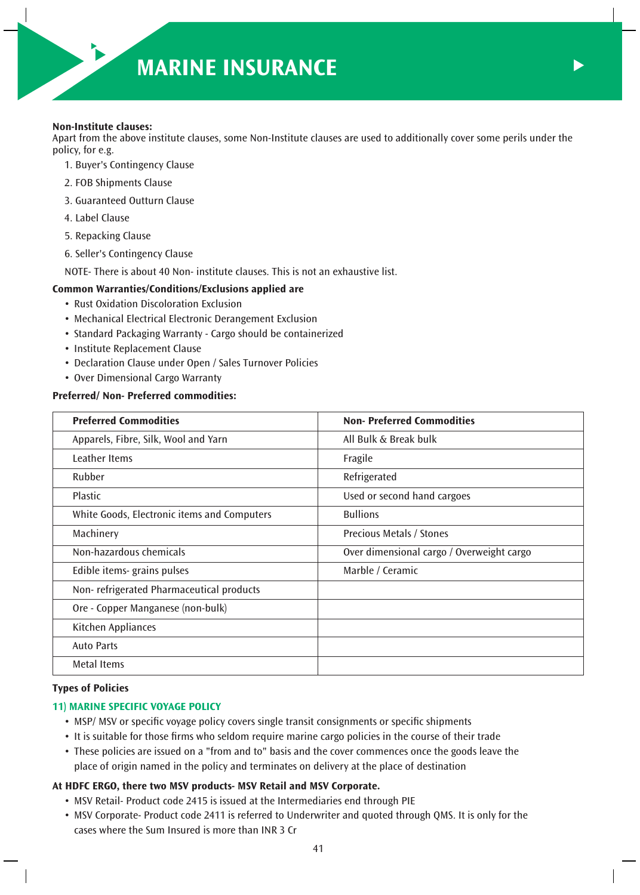#### **Non-Institute clauses:**

Apart from the above institute clauses, some Non-Institute clauses are used to additionally cover some perils under the policy, for e.g.

- 1. Buyer's Contingency Clause
- 2. FOB Shipments Clause
- 3. Guaranteed Outturn Clause
- 4. Label Clause
- 5. Repacking Clause
- 6. Seller's Contingency Clause

NOTE- There is about 40 Non- institute clauses. This is not an exhaustive list.

#### **Common Warranties/Conditions/Exclusions applied are**

- Rust Oxidation Discoloration Exclusion
- Mechanical Electrical Electronic Derangement Exclusion
- Standard Packaging Warranty Cargo should be containerized
- Institute Replacement Clause
- Declaration Clause under Open / Sales Turnover Policies
- Over Dimensional Cargo Warranty

#### **Preferred/ Non- Preferred commodities:**

| <b>Preferred Commodities</b>                | <b>Non- Preferred Commodities</b>         |
|---------------------------------------------|-------------------------------------------|
| Apparels, Fibre, Silk, Wool and Yarn        | All Bulk & Break bulk                     |
| Leather Items                               | Fragile                                   |
| Rubber                                      | Refrigerated                              |
| <b>Plastic</b>                              | Used or second hand cargoes               |
| White Goods, Electronic items and Computers | <b>Bullions</b>                           |
| Machinery                                   | <b>Precious Metals / Stones</b>           |
| Non-hazardous chemicals                     | Over dimensional cargo / Overweight cargo |
| Edible items-grains pulses                  | Marble / Ceramic                          |
| Non-refrigerated Pharmaceutical products    |                                           |
| Ore - Copper Manganese (non-bulk)           |                                           |
| Kitchen Appliances                          |                                           |
| <b>Auto Parts</b>                           |                                           |
| Metal Items                                 |                                           |

#### **Types of Policies**

#### **11) MARINE SPECIFIC VOYAGE POLICY**

- MSP/ MSV or specific voyage policy covers single transit consignments or specific shipments
- It is suitable for those firms who seldom require marine cargo policies in the course of their trade
- These policies are issued on a "from and to" basis and the cover commences once the goods leave the place of origin named in the policy and terminates on delivery at the place of destination

#### **At HDFC ERGO, there two MSV products- MSV Retail and MSV Corporate.**

- MSV Retail- Product code 2415 is issued at the Intermediaries end through PIE
- MSV Corporate- Product code 2411 is referred to Underwriter and quoted through QMS. It is only for the cases where the Sum Insured is more than INR 3 Cr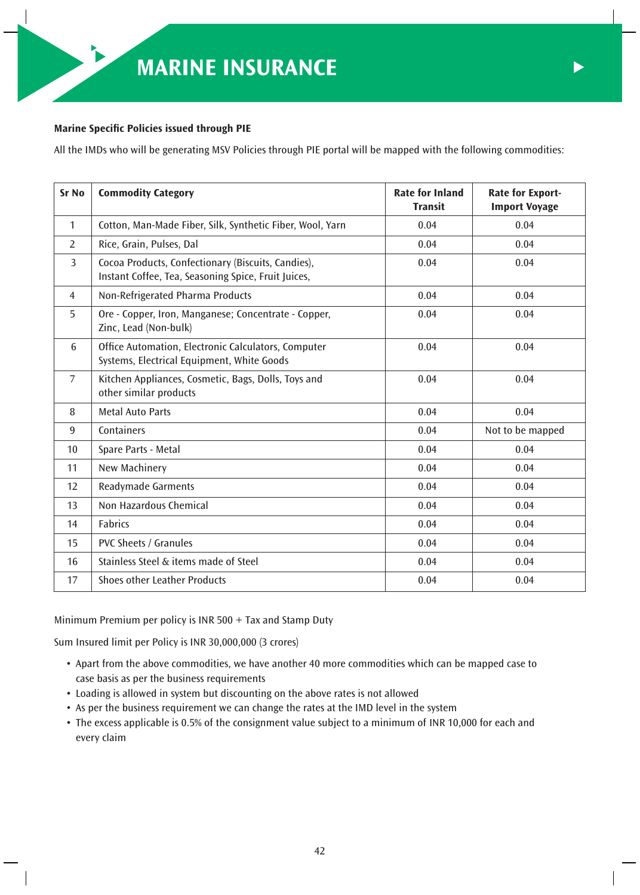#### **Marine Specific Policies issued through PIE**

All the IMDs who will be generating MSV Policies through PIE portal will be mapped with the following commodities:

| <b>Sr No</b>   | <b>Commodity Category</b>                                                                                 | <b>Rate for Inland</b><br><b>Transit</b> | <b>Rate for Export-</b><br><b>Import Voyage</b> |  |
|----------------|-----------------------------------------------------------------------------------------------------------|------------------------------------------|-------------------------------------------------|--|
| $\mathbf{1}$   | Cotton, Man-Made Fiber, Silk, Synthetic Fiber, Wool, Yarn                                                 | 0.04                                     | 0.04                                            |  |
| $\overline{2}$ | Rice, Grain, Pulses, Dal                                                                                  | 0.04                                     | 0.04                                            |  |
| $\overline{3}$ | Cocoa Products, Confectionary (Biscuits, Candies),<br>Instant Coffee, Tea, Seasoning Spice, Fruit Juices, | 0.04                                     | 0.04                                            |  |
| $\overline{4}$ | Non-Refrigerated Pharma Products                                                                          | 0.04                                     | 0.04                                            |  |
| 5              | Ore - Copper, Iron, Manganese; Concentrate - Copper,<br>Zinc, Lead (Non-bulk)                             | 0.04                                     | 0.04                                            |  |
| 6              | Office Automation, Electronic Calculators, Computer<br>Systems, Electrical Equipment, White Goods         | 0.04                                     | 0.04                                            |  |
| $\overline{7}$ | Kitchen Appliances, Cosmetic, Bags, Dolls, Toys and<br>other similar products                             | 0.04                                     | 0.04                                            |  |
| 8              | <b>Metal Auto Parts</b>                                                                                   | 0.04                                     | 0.04                                            |  |
| 9              | Containers                                                                                                | 0.04                                     | Not to be mapped                                |  |
| 10             | Spare Parts - Metal                                                                                       | 0.04                                     | 0.04                                            |  |
| 11             | New Machinery                                                                                             | 0.04                                     | 0.04                                            |  |
| 12             | <b>Readymade Garments</b>                                                                                 | 0.04                                     | 0.04                                            |  |
| 13             | <b>Non Hazardous Chemical</b>                                                                             | 0.04                                     | 0.04                                            |  |
| 14             | <b>Fabrics</b>                                                                                            | 0.04                                     | 0.04                                            |  |
| 15             | <b>PVC Sheets / Granules</b>                                                                              | 0.04                                     | 0.04                                            |  |
| 16             | Stainless Steel & items made of Steel                                                                     | 0.04                                     | 0.04                                            |  |
| 17             | Shoes other Leather Products                                                                              | 0.04                                     | 0.04                                            |  |

#### Minimum Premium per policy is INR 500 + Tax and Stamp Duty

Sum Insured limit per Policy is INR 30,000,000 (3 crores)

- Apart from the above commodities, we have another 40 more commodities which can be mapped case to case basis as per the business requirements
- Loading is allowed in system but discounting on the above rates is not allowed
- As per the business requirement we can change the rates at the IMD level in the system
- The excess applicable is 0.5% of the consignment value subject to a minimum of INR 10,000 for each and every claim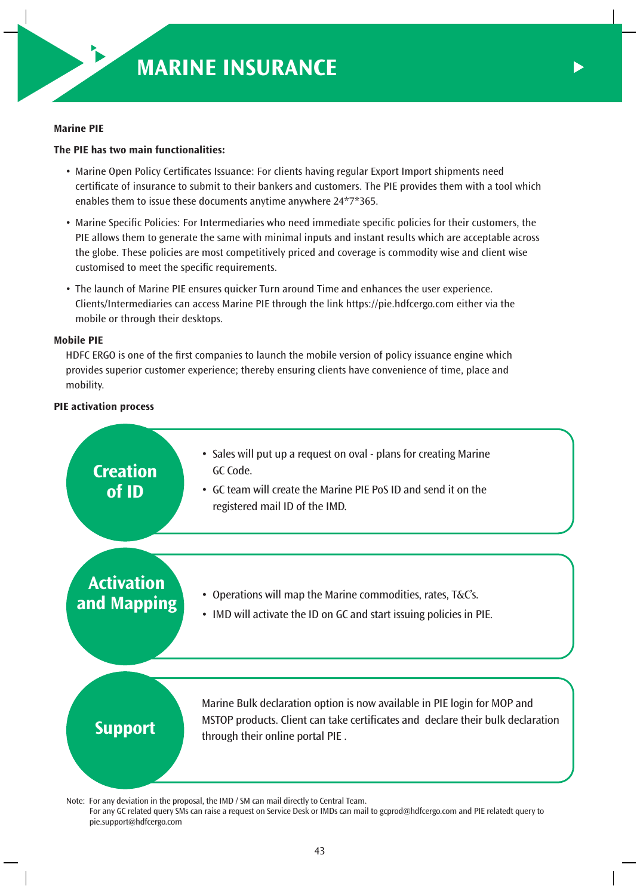#### **Marine PIE**

#### **The PIE has two main functionalities:**

- Marine Open Policy Certificates Issuance: For clients having regular Export Import shipments need certificate of insurance to submit to their bankers and customers. The PIE provides them with a tool which enables them to issue these documents anytime anywhere 24\*7\*365.
- Marine Specific Policies: For Intermediaries who need immediate specific policies for their customers, the PIE allows them to generate the same with minimal inputs and instant results which are acceptable across the globe. These policies are most competitively priced and coverage is commodity wise and client wise customised to meet the specific requirements.
- The launch of Marine PIE ensures quicker Turn around Time and enhances the user experience. Clients/Intermediaries can access Marine PIE through the link https://pie.hdfcergo.com either via the mobile or through their desktops.

#### **Mobile PIE**

 HDFC ERGO is one of the first companies to launch the mobile version of policy issuance engine which provides superior customer experience; thereby ensuring clients have convenience of time, place and mobility.

#### **PIE activation process**

| <b>Creation</b><br>of ID         | • Sales will put up a request on oval - plans for creating Marine<br>GC Code.<br>• GC team will create the Marine PIE PoS ID and send it on the<br>registered mail ID of the IMD.               |
|----------------------------------|-------------------------------------------------------------------------------------------------------------------------------------------------------------------------------------------------|
| <b>Activation</b><br>and Mapping | • Operations will map the Marine commodities, rates, T&C's.<br>• IMD will activate the ID on GC and start issuing policies in PIE.                                                              |
| <b>Support</b>                   | Marine Bulk declaration option is now available in PIE login for MOP and<br>MSTOP products. Client can take certificates and declare their bulk declaration<br>through their online portal PIE. |

For any GC related query SMs can raise a request on Service Desk or IMDs can mail to gcprod@hdfcergo.com and PIE relatedt query to pie.support@hdfcergo.com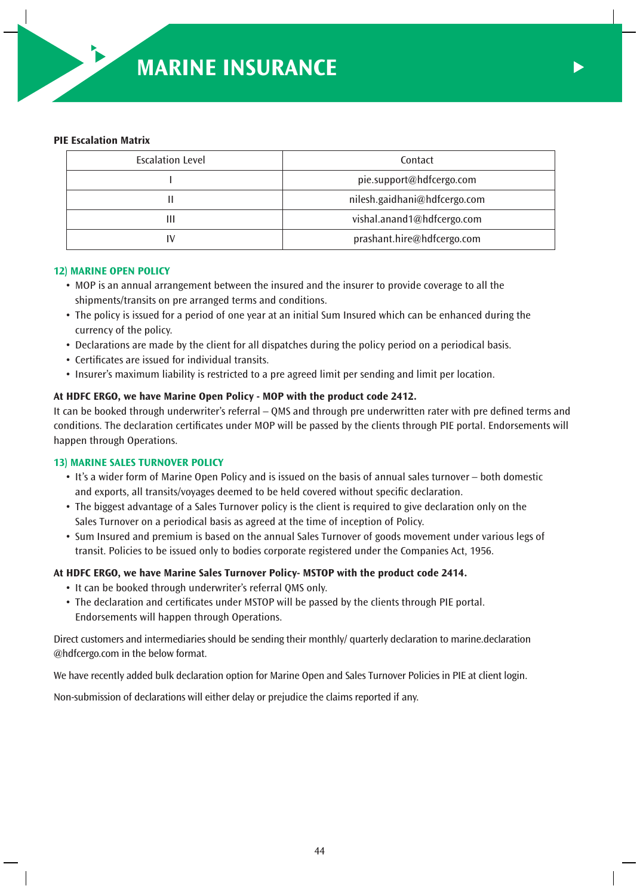#### **PIE Escalation Matrix**

| <b>Escalation Level</b> | Contact                      |  |  |
|-------------------------|------------------------------|--|--|
|                         | pie.support@hdfcergo.com     |  |  |
|                         | nilesh.gaidhani@hdfcergo.com |  |  |
| Ш                       | vishal.anand1@hdfcergo.com   |  |  |
| IV                      | prashant.hire@hdfcergo.com   |  |  |

#### **12) MARINE OPEN POLICY**

- MOP is an annual arrangement between the insured and the insurer to provide coverage to all the shipments/transits on pre arranged terms and conditions.
- The policy is issued for a period of one year at an initial Sum Insured which can be enhanced during the currency of the policy.
- Declarations are made by the client for all dispatches during the policy period on a periodical basis.
- Certificates are issued for individual transits.
- Insurer's maximum liability is restricted to a pre agreed limit per sending and limit per location.

#### **At HDFC ERGO, we have Marine Open Policy - MOP with the product code 2412.**

It can be booked through underwriter's referral – QMS and through pre underwritten rater with pre defined terms and conditions. The declaration certificates under MOP will be passed by the clients through PIE portal. Endorsements will happen through Operations.

#### **13) MARINE SALES TURNOVER POLICY**

- It's a wider form of Marine Open Policy and is issued on the basis of annual sales turnover both domestic and exports, all transits/voyages deemed to be held covered without specific declaration.
- The biggest advantage of a Sales Turnover policy is the client is required to give declaration only on the Sales Turnover on a periodical basis as agreed at the time of inception of Policy.
- Sum Insured and premium is based on the annual Sales Turnover of goods movement under various legs of transit. Policies to be issued only to bodies corporate registered under the Companies Act, 1956.

#### **At HDFC ERGO, we have Marine Sales Turnover Policy- MSTOP with the product code 2414.**

- It can be booked through underwriter's referral QMS only.
- The declaration and certificates under MSTOP will be passed by the clients through PIE portal. Endorsements will happen through Operations.

Direct customers and intermediaries should be sending their monthly/ quarterly declaration to marine.declaration @hdfcergo.com in the below format.

We have recently added bulk declaration option for Marine Open and Sales Turnover Policies in PIE at client login.

Non-submission of declarations will either delay or prejudice the claims reported if any.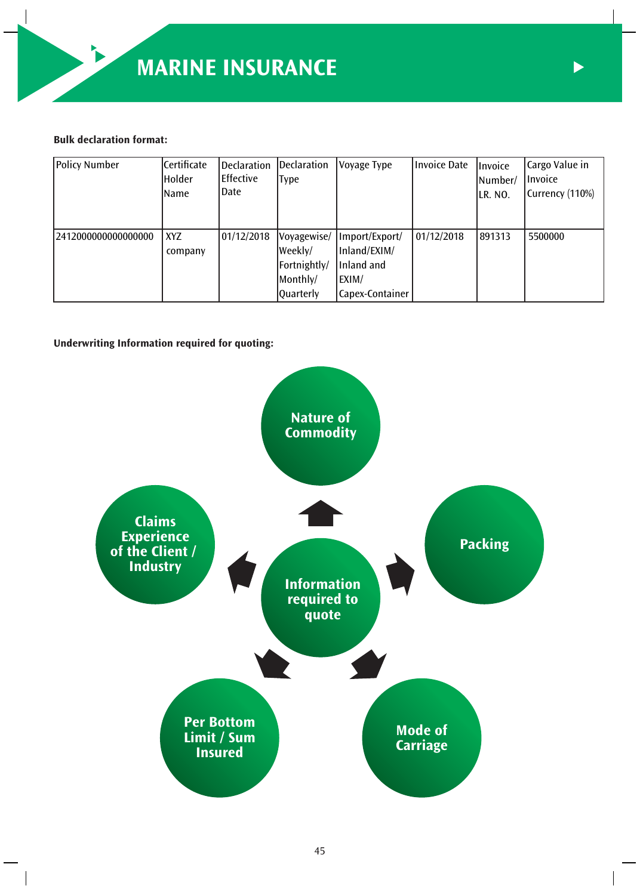#### **Bulk declaration format:**

| Policy Number       | Certificate<br>Holder<br> Name | <b>Declaration</b><br>Effective<br>Date | Declaration<br><b>Type</b>                                       | Voyage Type                                                              | <b>Invoice Date</b> | Invoice<br>Number/<br>LR. NO. | Cargo Value in<br>Invoice<br>Currency (110%) |
|---------------------|--------------------------------|-----------------------------------------|------------------------------------------------------------------|--------------------------------------------------------------------------|---------------------|-------------------------------|----------------------------------------------|
| 2412000000000000000 | <b>XYZ</b><br>company          | 01/12/2018                              | Voyagewise/<br> Weekly/<br>Fortnightly/<br>Monthly/<br>Ouarterly | Import/Export/<br>Inland/EXIM/<br>Inland and<br>EXIM/<br>Capex-Container | 01/12/2018          | 891313                        | 5500000                                      |

#### **Underwriting Information required for quoting:**

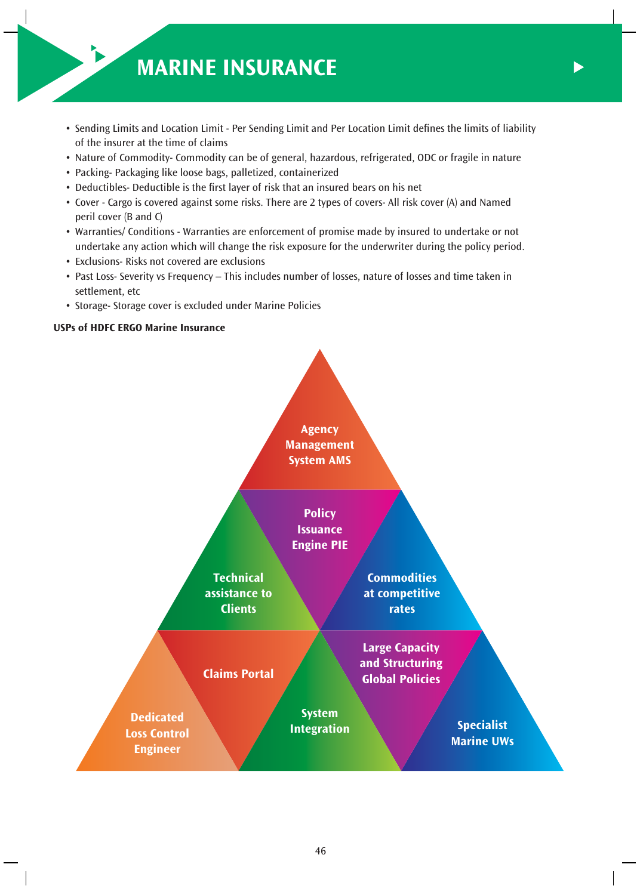- Sending Limits and Location Limit Per Sending Limit and Per Location Limit defines the limits of liability of the insurer at the time of claims
- Nature of Commodity- Commodity can be of general, hazardous, refrigerated, ODC or fragile in nature
- Packing- Packaging like loose bags, palletized, containerized
- Deductibles- Deductible is the first layer of risk that an insured bears on his net
- Cover Cargo is covered against some risks. There are 2 types of covers- All risk cover (A) and Named peril cover (B and C)
- Warranties/ Conditions Warranties are enforcement of promise made by insured to undertake or not undertake any action which will change the risk exposure for the underwriter during the policy period.
- Exclusions- Risks not covered are exclusions
- Past Loss- Severity vs Frequency This includes number of losses, nature of losses and time taken in settlement, etc
- Storage- Storage cover is excluded under Marine Policies

#### **USPs of HDFC ERGO Marine Insurance**

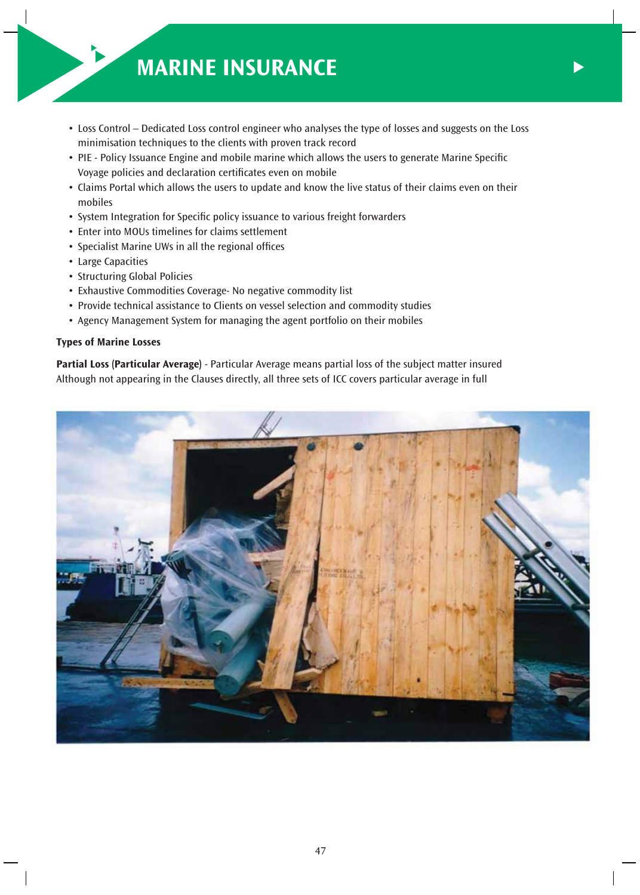- Loss Control Dedicated Loss control engineer who analyses the type of losses and suggests on the Loss minimisation techniques to the clients with proven track record
- PIE Policy Issuance Engine and mobile marine which allows the users to generate Marine Specific Voyage policies and declaration certificates even on mobile
- Claims Portal which allows the users to update and know the live status of their claims even on their mobiles
- System Integration for Specific policy issuance to various freight forwarders
- Enter into MOUs timelines for claims settlement
- Specialist Marine UWs in all the regional offices
- Large Capacities
- Structuring Global Policies
- Exhaustive Commodities Coverage- No negative commodity list
- Provide technical assistance to Clients on vessel selection and commodity studies
- Agency Management System for managing the agent portfolio on their mobiles

#### **Types of Marine Losses**

**Partial Loss (Particular Average)** - Particular Average means partial loss of the subject matter insured Although not appearing in the Clauses directly, all three sets of ICC covers particular average in full

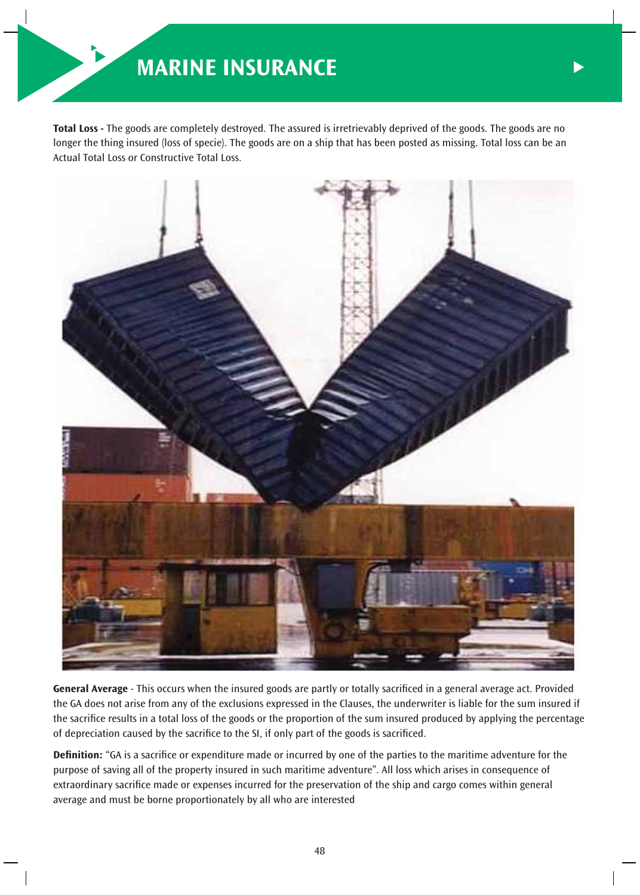**Total Loss -** The goods are completely destroyed. The assured is irretrievably deprived of the goods. The goods are no longer the thing insured (loss of specie). The goods are on a ship that has been posted as missing. Total loss can be an Actual Total Loss or Constructive Total Loss.



**General Average** - This occurs when the insured goods are partly or totally sacrificed in a general average act. Provided the GA does not arise from any of the exclusions expressed in the Clauses, the underwriter is liable for the sum insured if the sacrifice results in a total loss of the goods or the proportion of the sum insured produced by applying the percentage of depreciation caused by the sacrifice to the SI, if only part of the goods is sacrificed.

**Definition:** "GA is a sacrifice or expenditure made or incurred by one of the parties to the maritime adventure for the purpose of saving all of the property insured in such maritime adventure". All loss which arises in consequence of extraordinary sacrifice made or expenses incurred for the preservation of the ship and cargo comes within general average and must be borne proportionately by all who are interested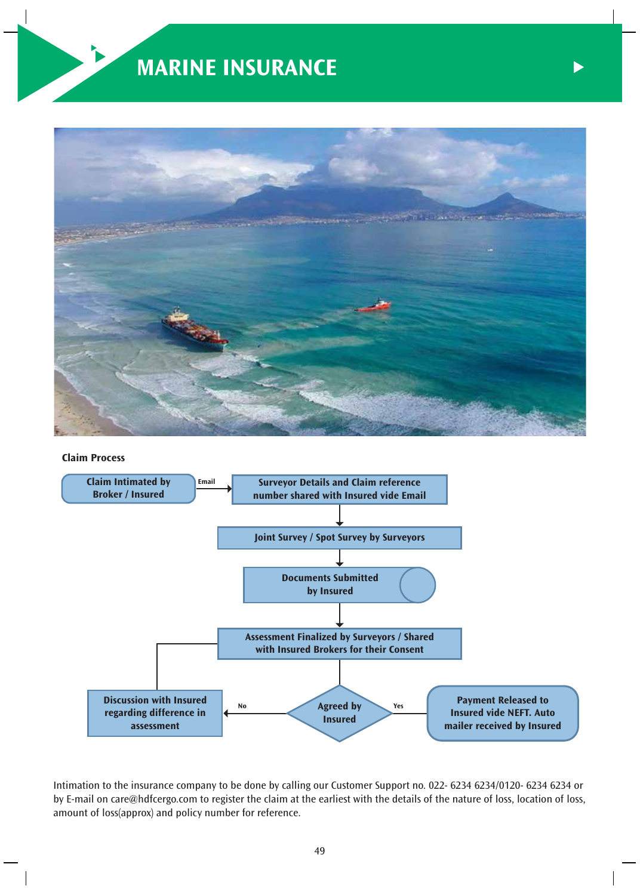

**Claim Process**



Intimation to the insurance company to be done by calling our Customer Support no. 022- 6234 6234/0120- 6234 6234 or by E-mail on care@hdfcergo.com to register the claim at the earliest with the details of the nature of loss, location of loss, amount of loss(approx) and policy number for reference.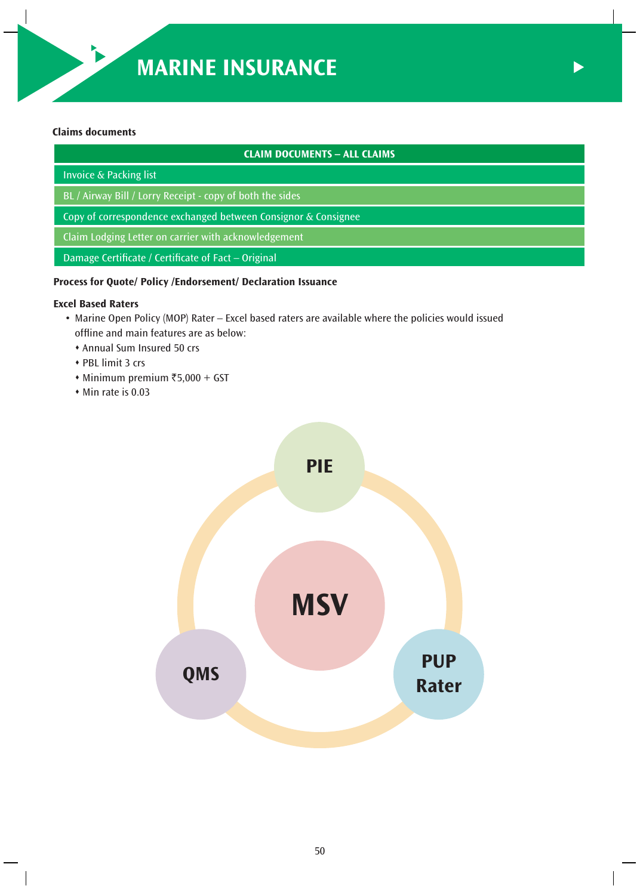#### **Claims documents**

#### **CLAIM DOCUMENTS – ALL CLAIMS**

#### Invoice & Packing list

BL / Airway Bill / Lorry Receipt - copy of both the sides

Copy of correspondence exchanged between Consignor & Consignee

Claim Lodging Letter on carrier with acknowledgement

Damage Certificate / Certificate of Fact – Original

#### **Process for Quote/ Policy /Endorsement/ Declaration Issuance**

#### **Excel Based Raters**

- Marine Open Policy (MOP) Rater Excel based raters are available where the policies would issued offline and main features are as below:
	- Annual Sum Insured 50 crs
	- PBL limit 3 crs
	- $\cdot$  Minimum premium  $\overline{55,000} + GST$
	- Min rate is 0.03

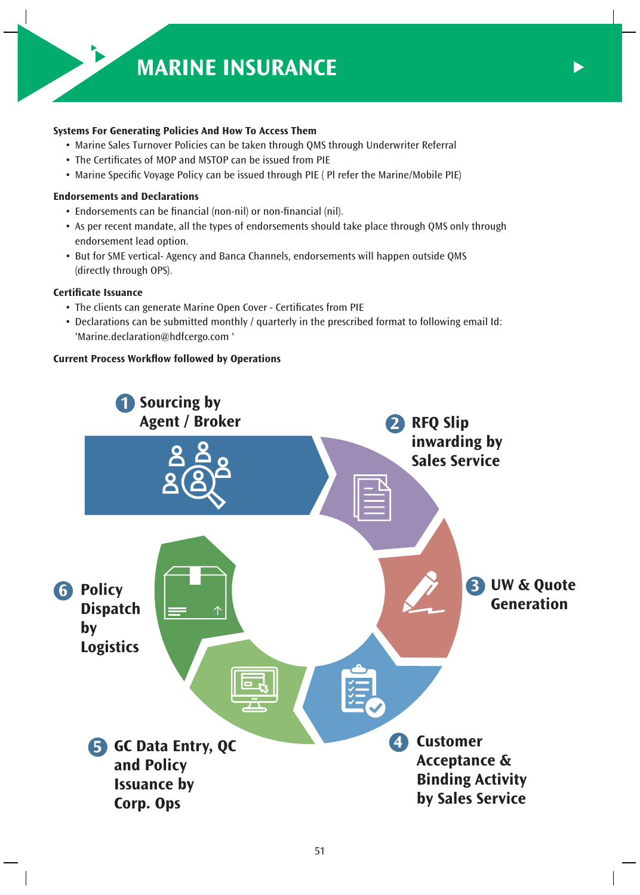#### **Systems For Generating Policies And How To Access Them**

- Marine Sales Turnover Policies can be taken through QMS through Underwriter Referral
- The Certificates of MOP and MSTOP can be issued from PIE
- Marine Specific Voyage Policy can be issued through PIE ( Pl refer the Marine/Mobile PIE)

#### **Endorsements and Declarations**

- Endorsements can be financial (non-nil) or non-financial (nil).
- As per recent mandate, all the types of endorsements should take place through QMS only through endorsement lead option.
- But for SME vertical- Agency and Banca Channels, endorsements will happen outside QMS (directly through OPS).

#### **Certificate Issuance**

- The clients can generate Marine Open Cover Certificates from PIE
- Declarations can be submitted monthly / quarterly in the prescribed format to following email Id: 'Marine.declaration@hdfcergo.com '

#### **Current Process Workflow followed by Operations**

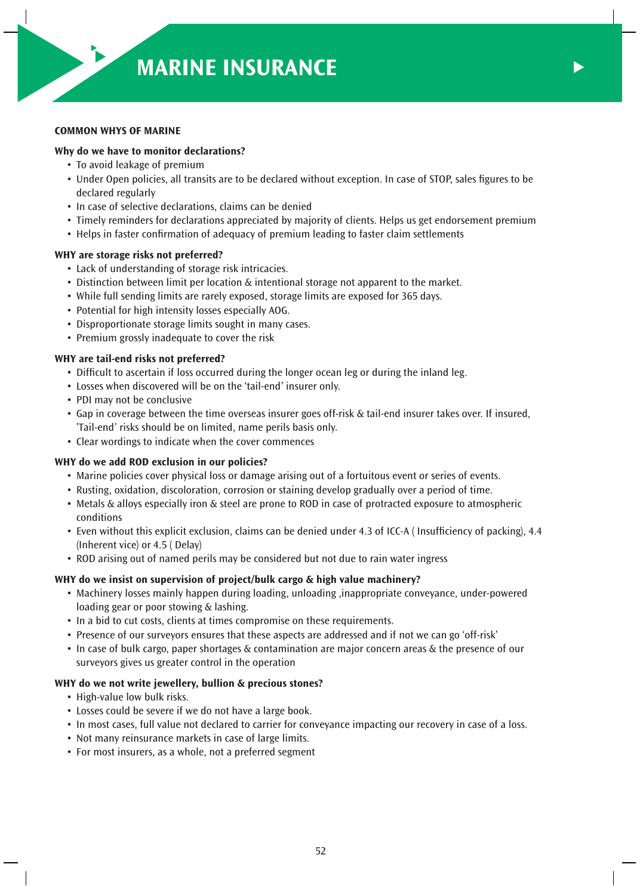#### **COMMON WHYS OF MARINE**

#### **Why do we have to monitor declarations?**

- To avoid leakage of premium
- Under Open policies, all transits are to be declared without exception. In case of STOP, sales figures to be declared regularly
- In case of selective declarations, claims can be denied
- Timely reminders for declarations appreciated by majority of clients. Helps us get endorsement premium
- Helps in faster confirmation of adequacy of premium leading to faster claim settlements

#### **WHY are storage risks not preferred?**

- Lack of understanding of storage risk intricacies.
- Distinction between limit per location & intentional storage not apparent to the market.
- While full sending limits are rarely exposed, storage limits are exposed for 365 days.
- Potential for high intensity losses especially AOG.
- Disproportionate storage limits sought in many cases.
- Premium grossly inadequate to cover the risk

#### **WHY are tail-end risks not preferred?**

- Difficult to ascertain if loss occurred during the longer ocean leg or during the inland leg.
- Losses when discovered will be on the 'tail-end' insurer only.
- PDI may not be conclusive
- Gap in coverage between the time overseas insurer goes off-risk & tail-end insurer takes over. If insured, 'Tail-end' risks should be on limited, name perils basis only.
- Clear wordings to indicate when the cover commences

#### **WHY do we add ROD exclusion in our policies?**

- Marine policies cover physical loss or damage arising out of a fortuitous event or series of events.
- Rusting, oxidation, discoloration, corrosion or staining develop gradually over a period of time.
- Metals & alloys especially iron & steel are prone to ROD in case of protracted exposure to atmospheric conditions
- Even without this explicit exclusion, claims can be denied under 4.3 of ICC-A ( Insufficiency of packing), 4.4 (Inherent vice) or 4.5 ( Delay)
- ROD arising out of named perils may be considered but not due to rain water ingress

#### **WHY do we insist on supervision of project/bulk cargo & high value machinery?**

- Machinery losses mainly happen during loading, unloading ,inappropriate conveyance, under-powered loading gear or poor stowing & lashing.
- In a bid to cut costs, clients at times compromise on these requirements.
- Presence of our surveyors ensures that these aspects are addressed and if not we can go 'off-risk'
- In case of bulk cargo, paper shortages & contamination are major concern areas & the presence of our surveyors gives us greater control in the operation

#### **WHY do we not write jewellery, bullion & precious stones?**

- High-value low bulk risks.
- Losses could be severe if we do not have a large book.
- In most cases, full value not declared to carrier for conveyance impacting our recovery in case of a loss.
- Not many reinsurance markets in case of large limits.
- For most insurers, as a whole, not a preferred segment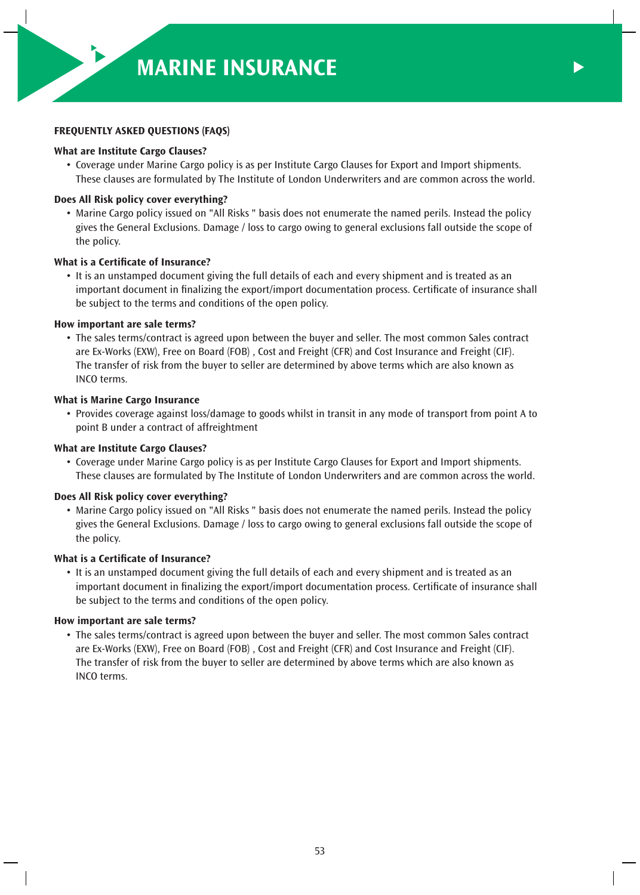#### **FREQUENTLY ASKED QUESTIONS (FAQS)**

#### **What are Institute Cargo Clauses?**

 • Coverage under Marine Cargo policy is as per Institute Cargo Clauses for Export and Import shipments. These clauses are formulated by The Institute of London Underwriters and are common across the world.

#### **Does All Risk policy cover everything?**

 • Marine Cargo policy issued on "All Risks " basis does not enumerate the named perils. Instead the policy gives the General Exclusions. Damage / loss to cargo owing to general exclusions fall outside the scope of the policy.

#### **What is a Certificate of Insurance?**

 • It is an unstamped document giving the full details of each and every shipment and is treated as an important document in finalizing the export/import documentation process. Certificate of insurance shall be subject to the terms and conditions of the open policy.

#### **How important are sale terms?**

 • The sales terms/contract is agreed upon between the buyer and seller. The most common Sales contract are Ex-Works (EXW), Free on Board (FOB) , Cost and Freight (CFR) and Cost Insurance and Freight (CIF). The transfer of risk from the buyer to seller are determined by above terms which are also known as INCO terms.

#### **What is Marine Cargo Insurance**

 • Provides coverage against loss/damage to goods whilst in transit in any mode of transport from point A to point B under a contract of affreightment

#### **What are Institute Cargo Clauses?**

 • Coverage under Marine Cargo policy is as per Institute Cargo Clauses for Export and Import shipments. These clauses are formulated by The Institute of London Underwriters and are common across the world.

#### **Does All Risk policy cover everything?**

 • Marine Cargo policy issued on "All Risks " basis does not enumerate the named perils. Instead the policy gives the General Exclusions. Damage / loss to cargo owing to general exclusions fall outside the scope of the policy.

#### **What is a Certificate of Insurance?**

 • It is an unstamped document giving the full details of each and every shipment and is treated as an important document in finalizing the export/import documentation process. Certificate of insurance shall be subject to the terms and conditions of the open policy.

#### **How important are sale terms?**

 • The sales terms/contract is agreed upon between the buyer and seller. The most common Sales contract are Ex-Works (EXW), Free on Board (FOB) , Cost and Freight (CFR) and Cost Insurance and Freight (CIF). The transfer of risk from the buyer to seller are determined by above terms which are also known as INCO terms.